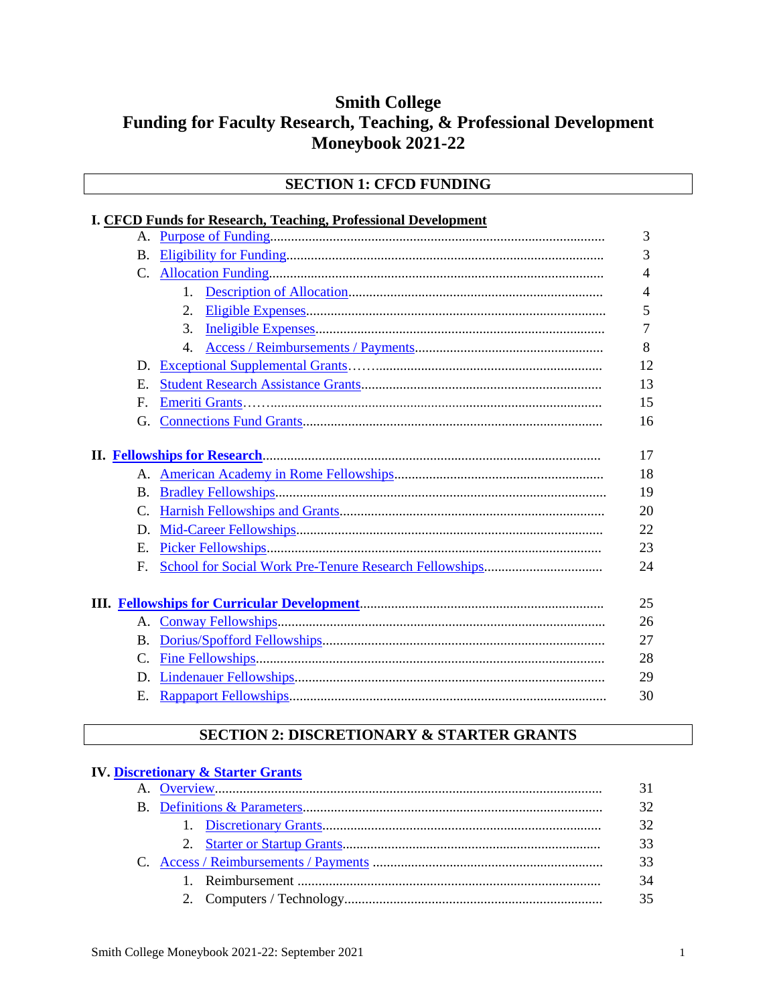# **Smith College** Funding for Faculty Research, Teaching, & Professional Development **Moneybook 2021-22**

#### **SECTION 1: CFCD FUNDING**

#### **I. CFCD Funds for Research, Teaching, Professional Development**

|                |    | 3              |
|----------------|----|----------------|
| B.             |    | 3              |
|                |    | 4              |
|                | 1. | 4              |
|                | 2. | 5              |
|                | 3. | $\overline{7}$ |
|                | 4. | 8              |
|                |    | 12             |
| E.             |    | 13             |
| F.             |    | 15             |
| G.             |    | 16             |
|                |    | 17             |
|                |    | 18             |
| B.             |    | 19             |
| $\mathbf{C}$ . |    | 20             |
| D.             |    | 22             |
| E.             |    | 23             |
| F.             |    | 24             |
|                |    |                |
|                |    | 25             |
| A.             |    | 26             |
| B.             |    | 27             |
|                |    | 28             |
|                |    | 29             |
| E.             |    | 30             |

### SECTION 2: DISCRETIONARY & STARTER GRANTS

| <b>IV. Discretionary &amp; Starter Grants</b> |    |
|-----------------------------------------------|----|
|                                               | 31 |
|                                               | 32 |
|                                               | 32 |
|                                               | 33 |
|                                               | 33 |
|                                               | 34 |
|                                               | 35 |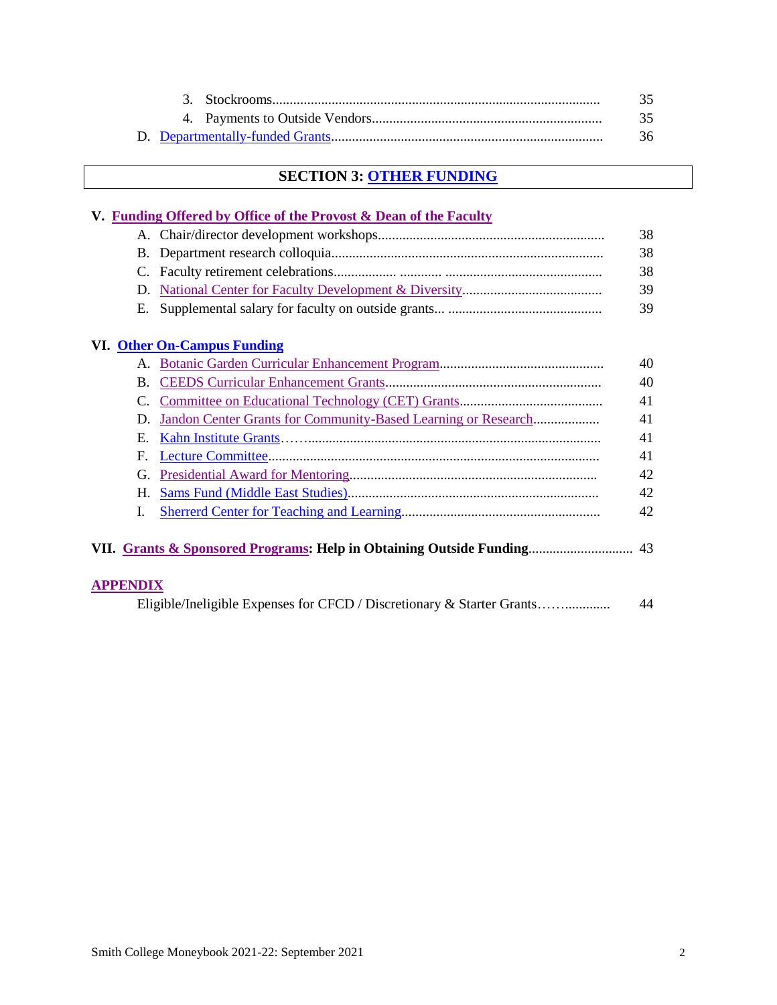|  | 36. |
|--|-----|

# **SECTION 3: OTHER [FUNDING](#page-36-0)**

#### **V. [Funding Offered by Office of the Provost & Dean of the Faculty](#page-37-0)**

|  | 38 |
|--|----|
|  | 38 |
|  | 38 |
|  | 39 |
|  | 39 |

#### **VI. [Other On-Campus Funding](#page-39-0)**

|                 |                                                               | 40 |
|-----------------|---------------------------------------------------------------|----|
| B.              |                                                               | 40 |
|                 |                                                               | 41 |
| $D_{\rm c}$     | Jandon Center Grants for Community-Based Learning or Research | 41 |
| Н.              |                                                               | 41 |
| F.              |                                                               | 41 |
|                 |                                                               | 42 |
|                 |                                                               | 42 |
| I.              |                                                               | 42 |
|                 |                                                               |    |
| <b>APPENDIX</b> |                                                               | 44 |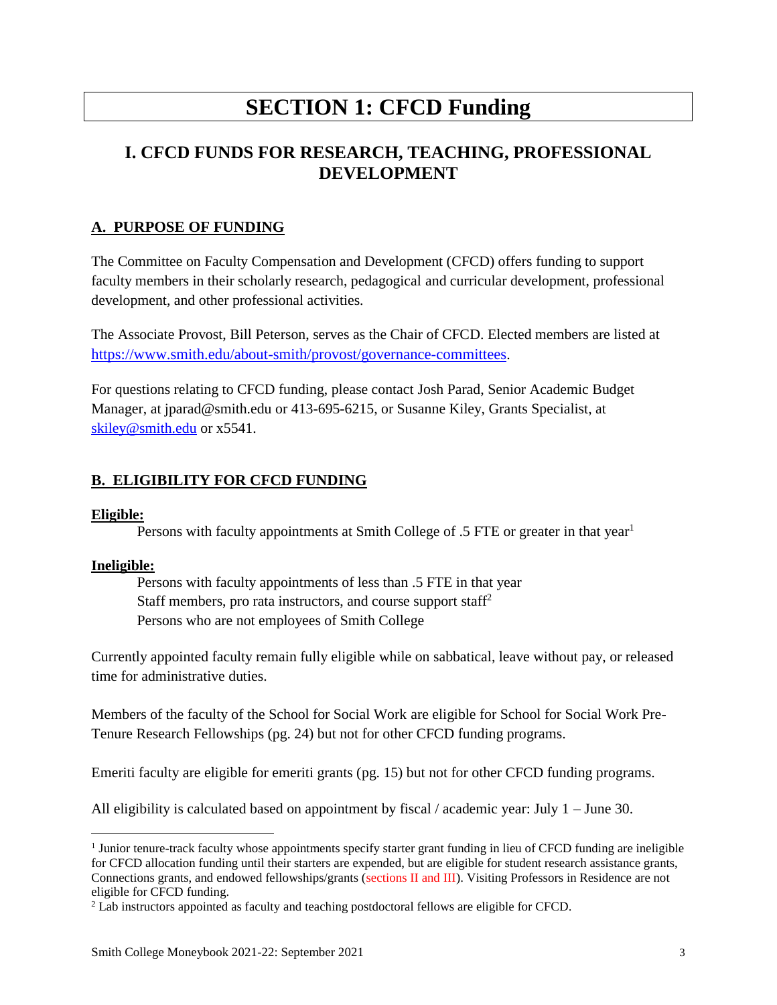# **SECTION 1: CFCD Funding**

# **I. CFCD FUNDS FOR RESEARCH, TEACHING, PROFESSIONAL DEVELOPMENT**

#### <span id="page-2-0"></span>**A. PURPOSE OF FUNDING**

The Committee on Faculty Compensation and Development (CFCD) offers funding to support faculty members in their scholarly research, pedagogical and curricular development, professional development, and other professional activities.

The Associate Provost, Bill Peterson, serves as the Chair of CFCD. Elected members are listed at <https://www.smith.edu/about-smith/provost/governance-committees>.

For questions relating to CFCD funding, please contact Josh Parad, Senior Academic Budget Manager, at jparad@smith.edu or 413-695-6215, or Susanne Kiley, Grants Specialist, at [skiley@smith.edu](mailto:skiley@smith.edu) or x5541.

#### <span id="page-2-1"></span>**B. ELIGIBILITY FOR CFCD FUNDING**

#### **Eligible:**

Persons with faculty appointments at Smith College of .5 FTE or greater in that year<sup>1</sup>

#### **Ineligible:**

 $\overline{a}$ 

Persons with faculty appointments of less than .5 FTE in that year Staff members, pro rata instructors, and course support staff<sup>2</sup> Persons who are not employees of Smith College

Currently appointed faculty remain fully eligible while on sabbatical, leave without pay, or released time for administrative duties.

Members of the faculty of the School for Social Work are eligible for School for Social Work Pre-Tenure Research Fellowships (pg. 24) but not for other CFCD funding programs.

Emeriti faculty are eligible for emeriti grants (pg. 15) but not for other CFCD funding programs.

All eligibility is calculated based on appointment by fiscal / academic year: July  $1 -$  June 30.

<sup>&</sup>lt;sup>1</sup> Junior tenure-track faculty whose appointments specify starter grant funding in lieu of CFCD funding are ineligible for CFCD allocation funding until their starters are expended, but are eligible for student research assistance grants, Connections grants, and endowed fellowships/grants (sections II and III). Visiting Professors in Residence are not eligible for CFCD funding.

<sup>2</sup> Lab instructors appointed as faculty and teaching postdoctoral fellows are eligible for CFCD.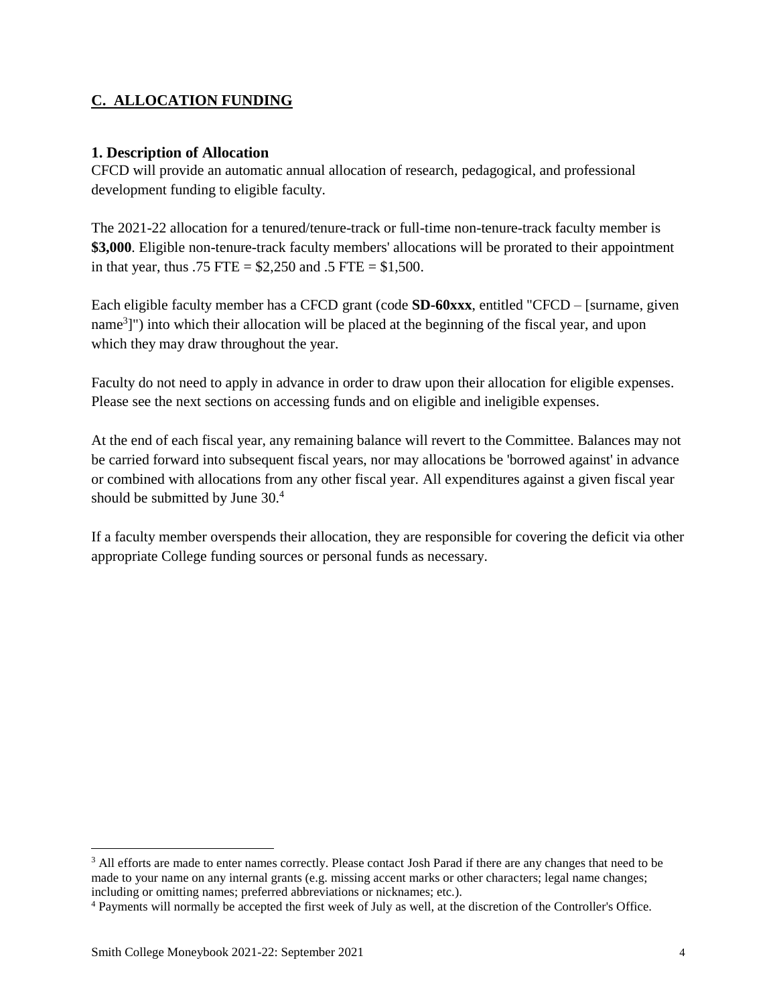### <span id="page-3-0"></span>**C. ALLOCATION FUNDING**

#### **1. Description of Allocation**

CFCD will provide an automatic annual allocation of research, pedagogical, and professional development funding to eligible faculty.

The 2021-22 allocation for a tenured/tenure-track or full-time non-tenure-track faculty member is **\$3,000**. Eligible non-tenure-track faculty members' allocations will be prorated to their appointment in that year, thus .75 FTE =  $$2,250$  and .5 FTE =  $$1,500$ .

Each eligible faculty member has a CFCD grant (code **SD-60xxx**, entitled "CFCD – [surname, given name<sup>3</sup>]") into which their allocation will be placed at the beginning of the fiscal year, and upon which they may draw throughout the year.

Faculty do not need to apply in advance in order to draw upon their allocation for eligible expenses. Please see the next sections on accessing funds and on eligible and ineligible expenses.

At the end of each fiscal year, any remaining balance will revert to the Committee. Balances may not be carried forward into subsequent fiscal years, nor may allocations be 'borrowed against' in advance or combined with allocations from any other fiscal year. All expenditures against a given fiscal year should be submitted by June 30.<sup>4</sup>

If a faculty member overspends their allocation, they are responsible for covering the deficit via other appropriate College funding sources or personal funds as necessary.

 $\overline{a}$ 

<sup>&</sup>lt;sup>3</sup> All efforts are made to enter names correctly. Please contact Josh Parad if there are any changes that need to be made to your name on any internal grants (e.g. missing accent marks or other characters; legal name changes; including or omitting names; preferred abbreviations or nicknames; etc.).

<sup>4</sup> Payments will normally be accepted the first week of July as well, at the discretion of the Controller's Office.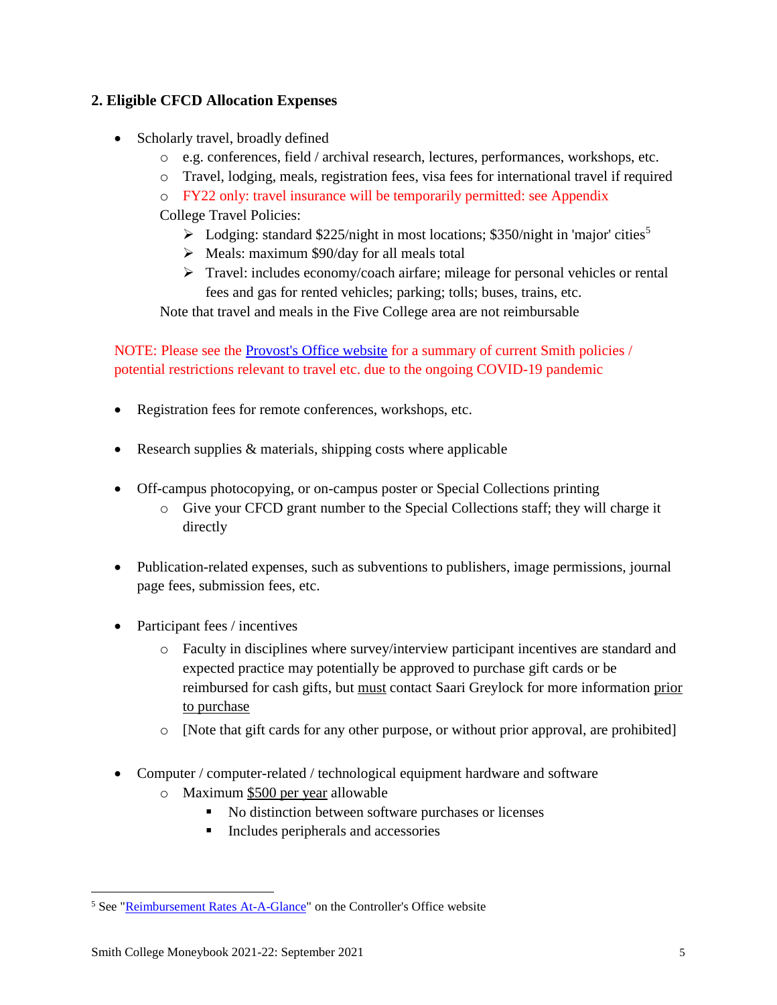### <span id="page-4-0"></span>**2. Eligible CFCD Allocation Expenses**

- Scholarly travel, broadly defined
	- o e.g. conferences, field / archival research, lectures, performances, workshops, etc.
	- o Travel, lodging, meals, registration fees, visa fees for international travel if required
	- o FY22 only: travel insurance will be temporarily permitted: see Appendix
	- College Travel Policies:
		- $\triangleright$  Lodging: standard \$225/night in most locations; \$350/night in 'major' cities<sup>5</sup>
		- ➢ Meals: maximum \$90/day for all meals total
		- $\triangleright$  Travel: includes economy/coach airfare; mileage for personal vehicles or rental fees and gas for rented vehicles; parking; tolls; buses, trains, etc.

Note that travel and meals in the Five College area are not reimbursable

NOTE: Please see the [Provost's Office website](https://www.smith.edu/about-smith/provost/grants-funding) for a summary of current Smith policies / potential restrictions relevant to travel etc. due to the ongoing COVID-19 pandemic

- Registration fees for remote conferences, workshops, etc.
- Research supplies & materials, shipping costs where applicable
- Off-campus photocopying, or on-campus poster or Special Collections printing
	- o Give your CFCD grant number to the Special Collections staff; they will charge it directly
- Publication-related expenses, such as subventions to publishers, image permissions, journal page fees, submission fees, etc.
- Participant fees / incentives
	- o Faculty in disciplines where survey/interview participant incentives are standard and expected practice may potentially be approved to purchase gift cards or be reimbursed for cash gifts, but must contact Saari Greylock for more information prior to purchase
	- o [Note that gift cards for any other purpose, or without prior approval, are prohibited]
- Computer / computer-related / technological equipment hardware and software
	- o Maximum \$500 per year allowable
		- No distinction between software purchases or licenses
		- Includes peripherals and accessories

 $\overline{a}$ <sup>5</sup> See ["Reimbursement Rates At-A-Glance"](https://www.smith.edu/sites/default/files/media/Documents/Controller/2019%20Reimbursement%20Rates_0.pdf) on the Controller's Office website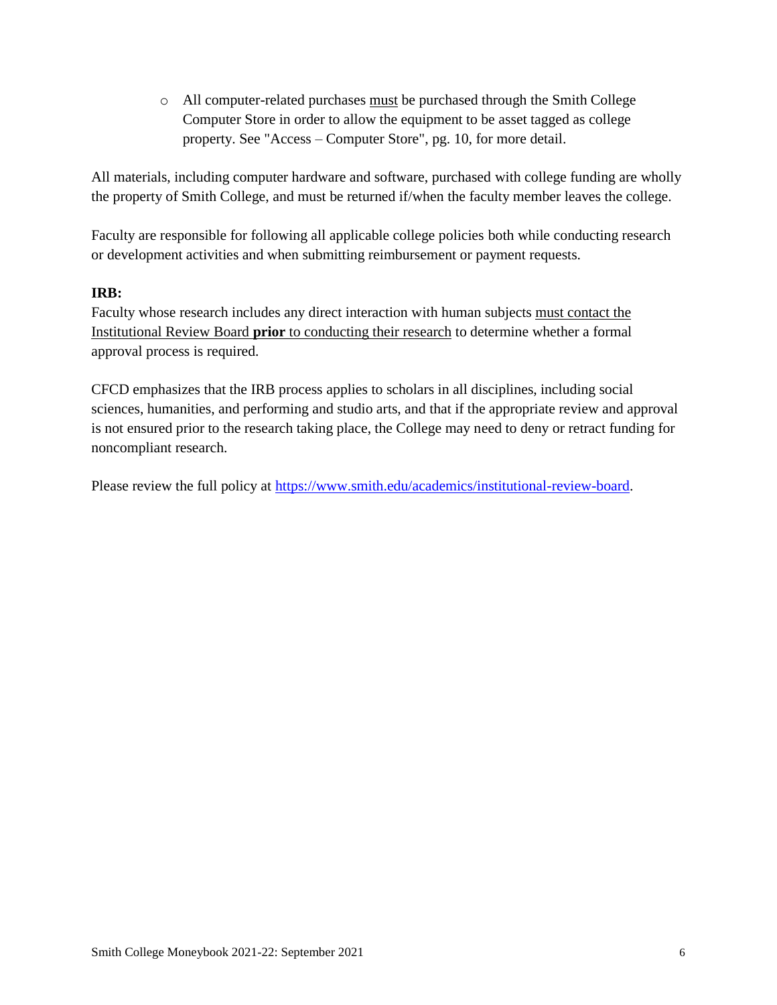o All computer-related purchases must be purchased through the Smith College Computer Store in order to allow the equipment to be asset tagged as college property. See "Access – Computer Store", pg. 10, for more detail.

All materials, including computer hardware and software, purchased with college funding are wholly the property of Smith College, and must be returned if/when the faculty member leaves the college.

Faculty are responsible for following all applicable college policies both while conducting research or development activities and when submitting reimbursement or payment requests.

#### **IRB:**

Faculty whose research includes any direct interaction with human subjects must contact the Institutional Review Board **prior** to conducting their research to determine whether a formal approval process is required.

CFCD emphasizes that the IRB process applies to scholars in all disciplines, including social sciences, humanities, and performing and studio arts, and that if the appropriate review and approval is not ensured prior to the research taking place, the College may need to deny or retract funding for noncompliant research.

Please review the full policy at [https://www.smith.edu/academics/institutional-review-board.](https://www.smith.edu/academics/institutional-review-board)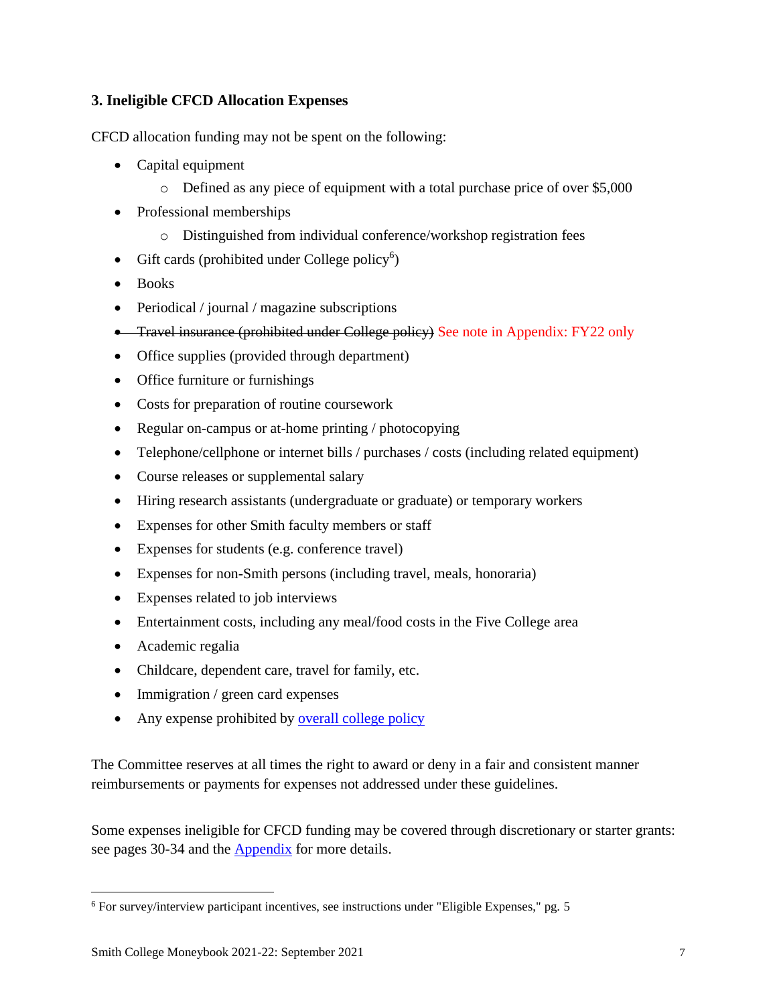#### <span id="page-6-0"></span>**3. Ineligible CFCD Allocation Expenses**

CFCD allocation funding may not be spent on the following:

- Capital equipment
	- o Defined as any piece of equipment with a total purchase price of over \$5,000
- Professional memberships
	- o Distinguished from individual conference/workshop registration fees
- Gift cards (prohibited under College policy<sup>6</sup>)
- Books
- Periodical / journal / magazine subscriptions
- Travel insurance (prohibited under College policy) See note in Appendix: FY22 only
- Office supplies (provided through department)
- Office furniture or furnishings
- Costs for preparation of routine coursework
- Regular on-campus or at-home printing / photocopying
- Telephone/cellphone or internet bills / purchases / costs (including related equipment)
- Course releases or supplemental salary
- Hiring research assistants (undergraduate or graduate) or temporary workers
- Expenses for other Smith faculty members or staff
- Expenses for students (e.g. conference travel)
- Expenses for non-Smith persons (including travel, meals, honoraria)
- Expenses related to job interviews
- Entertainment costs, including any meal/food costs in the Five College area
- Academic regalia
- Childcare, dependent care, travel for family, etc.
- Immigration / green card expenses
- Any expense prohibited by **overall college policy**

The Committee reserves at all times the right to award or deny in a fair and consistent manner reimbursements or payments for expenses not addressed under these guidelines.

Some expenses ineligible for CFCD funding may be covered through discretionary or starter grants: see pages 30-34 and the **[Appendix](#page-43-0)** for more details.

 $\overline{a}$ <sup>6</sup> For survey/interview participant incentives, see instructions under "Eligible Expenses," pg. 5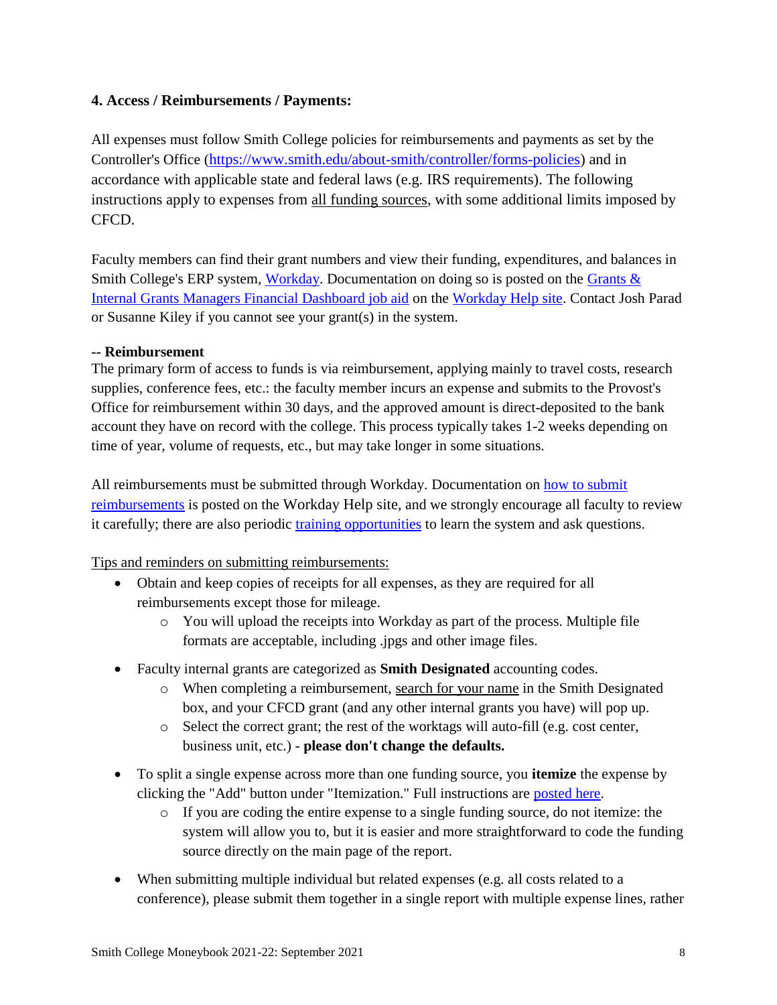#### <span id="page-7-0"></span>**4. Access / Reimbursements / Payments:**

All expenses must follow Smith College policies for reimbursements and payments as set by the Controller's Office ([https://www.smith.edu/about-smith/controller/forms-policies\)](https://www.smith.edu/about-smith/controller/forms-policies) and in accordance with applicable state and federal laws (e.g. IRS requirements). The following instructions apply to expenses from all funding sources, with some additional limits imposed by CFCD.

Faculty members can find their grant numbers and view their funding, expenditures, and balances in Smith College's ERP system, [Workday.](https://wd5.myworkday.com/smithcollege/d/home.htmld) Documentation on doing so is posted on the Grants  $\&$ [Internal Grants Managers Financial Dashboard job aid](https://sites.google.com/smith.edu/workdayhelp/hr-payroll-finances/financial-how-tos-and-faqs?authuser=0#h.p_OtHxSchzkwjw) on the [Workday Help site.](https://sites.google.com/smith.edu/workdayhelp/home?authuser=0) Contact Josh Parad or Susanne Kiley if you cannot see your grant(s) in the system.

#### **-- Reimbursement**

The primary form of access to funds is via reimbursement, applying mainly to travel costs, research supplies, conference fees, etc.: the faculty member incurs an expense and submits to the Provost's Office for reimbursement within 30 days, and the approved amount is direct-deposited to the bank account they have on record with the college. This process typically takes 1-2 weeks depending on time of year, volume of requests, etc., but may take longer in some situations.

All reimbursements must be submitted through Workday. Documentation on [how to submit](https://sites.google.com/smith.edu/workdayhelp/hr-payroll-finances/financial-how-tos-and-faqs?authuser=0#h.jlwbtrv37my)  [reimbursements](https://sites.google.com/smith.edu/workdayhelp/hr-payroll-finances/financial-how-tos-and-faqs?authuser=0#h.jlwbtrv37my) is posted on the [Workday Help site](https://sites.google.com/smith.edu/workdayhelp/), and we strongly encourage all faculty to review it carefully; there are also periodic [training opportunities](https://sites.google.com/smith.edu/workdayhelp/training?authuser=0) to learn the system and ask questions.

#### Tips and reminders on submitting reimbursements:

- Obtain and keep copies of receipts for all expenses, as they are required for all reimbursements except those for mileage.
	- o You will upload the receipts into Workday as part of the process. Multiple file formats are acceptable, including .jpgs and other image files.
- Faculty internal grants are categorized as **Smith Designated** accounting codes.
	- $\circ$  When completing a reimbursement, search for your name in the Smith Designated box, and your CFCD grant (and any other internal grants you have) will pop up.
	- $\circ$  Select the correct grant; the rest of the worktags will auto-fill (e.g. cost center, business unit, etc.) - **please don't change the defaults.**
- To split a single expense across more than one funding source, you **itemize** the expense by clicking the "Add" button under "Itemization." Full instructions are [posted here.](https://sites.google.com/smith.edu/workdayhelp/hr-payroll-finances/financial-how-tos-and-faqs?authuser=0#h.jlwbtrv37my)
	- $\circ$  If you are coding the entire expense to a single funding source, do not itemize: the system will allow you to, but it is easier and more straightforward to code the funding source directly on the main page of the report.
- When submitting multiple individual but related expenses (e.g. all costs related to a conference), please submit them together in a single report with multiple expense lines, rather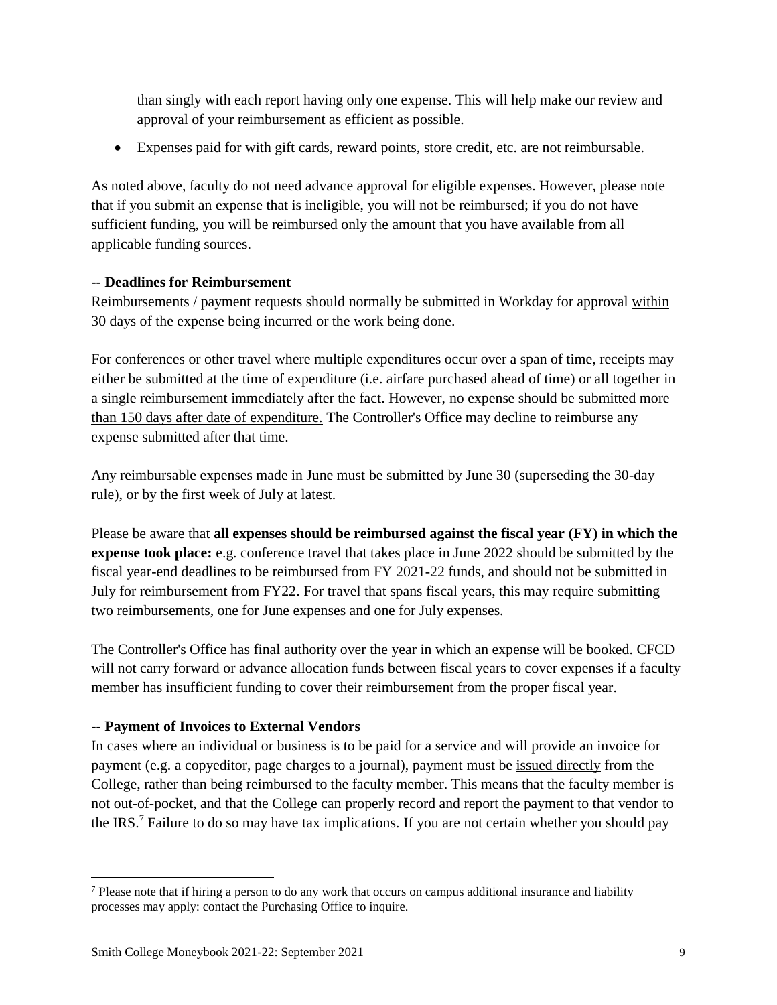than singly with each report having only one expense. This will help make our review and approval of your reimbursement as efficient as possible.

• Expenses paid for with gift cards, reward points, store credit, etc. are not reimbursable.

As noted above, faculty do not need advance approval for eligible expenses. However, please note that if you submit an expense that is ineligible, you will not be reimbursed; if you do not have sufficient funding, you will be reimbursed only the amount that you have available from all applicable funding sources.

#### **-- Deadlines for Reimbursement**

Reimbursements / payment requests should normally be submitted in Workday for approval within 30 days of the expense being incurred or the work being done.

For conferences or other travel where multiple expenditures occur over a span of time, receipts may either be submitted at the time of expenditure (i.e. airfare purchased ahead of time) or all together in a single reimbursement immediately after the fact. However, no expense should be submitted more than 150 days after date of expenditure. The Controller's Office may decline to reimburse any expense submitted after that time.

Any reimbursable expenses made in June must be submitted by June 30 (superseding the 30-day rule), or by the first week of July at latest.

Please be aware that **all expenses should be reimbursed against the fiscal year (FY) in which the expense took place:** e.g. conference travel that takes place in June 2022 should be submitted by the fiscal year-end deadlines to be reimbursed from FY 2021-22 funds, and should not be submitted in July for reimbursement from FY22. For travel that spans fiscal years, this may require submitting two reimbursements, one for June expenses and one for July expenses.

The Controller's Office has final authority over the year in which an expense will be booked. CFCD will not carry forward or advance allocation funds between fiscal years to cover expenses if a faculty member has insufficient funding to cover their reimbursement from the proper fiscal year.

## **-- Payment of Invoices to External Vendors**

In cases where an individual or business is to be paid for a service and will provide an invoice for payment (e.g. a copyeditor, page charges to a journal), payment must be issued directly from the College, rather than being reimbursed to the faculty member. This means that the faculty member is not out-of-pocket, and that the College can properly record and report the payment to that vendor to the IRS.<sup>7</sup> Failure to do so may have tax implications. If you are not certain whether you should pay

 $\overline{a}$ 

<sup>7</sup> Please note that if hiring a person to do any work that occurs on campus additional insurance and liability processes may apply: contact the Purchasing Office to inquire.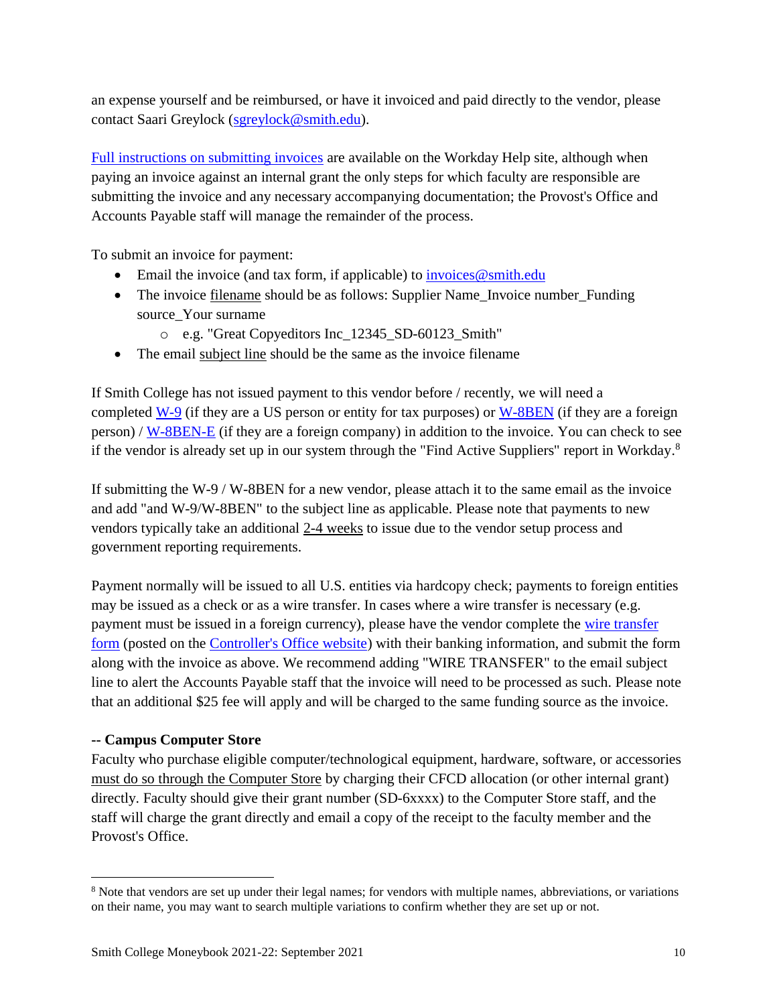an expense yourself and be reimbursed, or have it invoiced and paid directly to the vendor, please contact Saari Greylock [\(sgreylock@smith.edu\)](mailto:sgreylock@smith.edu).

[Full instructions on submitting invoices](https://sites.google.com/smith.edu/workdayhelp/hr-payroll-finances/financial-how-tos-and-faqs/purchasing-and-processing-payments/invoices?authuser=0) are available on the Workday Help site, although when paying an invoice against an internal grant the only steps for which faculty are responsible are submitting the invoice and any necessary accompanying documentation; the Provost's Office and Accounts Payable staff will manage the remainder of the process.

To submit an invoice for payment:

- Email the invoice (and tax form, if applicable) to invoices  $@s$  mith.edu
- The invoice filename should be as follows: Supplier Name Invoice number Funding source\_Your surname
	- o e.g. "Great Copyeditors Inc\_12345\_SD-60123\_Smith"
- The email subject line should be the same as the invoice filename

If Smith College has not issued payment to this vendor before / recently, we will need a completed  $W-9$  (if they are a US person or entity for tax purposes) or  $W-8BEN$  (if they are a foreign person) / [W-8BEN-E](https://www.irs.gov/pub/irs-pdf/fw8bene.pdf) (if they are a foreign company) in addition to the invoice. You can check to see if the vendor is already set up in our system through the "Find Active Suppliers" report in Workday.<sup>8</sup>

If submitting the W-9 / W-8BEN for a new vendor, please attach it to the same email as the invoice and add "and W-9/W-8BEN" to the subject line as applicable. Please note that payments to new vendors typically take an additional 2-4 weeks to issue due to the vendor setup process and government reporting requirements.

Payment normally will be issued to all U.S. entities via hardcopy check; payments to foreign entities may be issued as a check or as a wire transfer. In cases where a wire transfer is necessary (e.g. payment must be issued in a foreign currency), please have the vendor complete the wire transfer [form](https://www.smith.edu/sites/default/files/media/Documents/Controller/Wiretrans.xls) (posted on the [Controller's Office website\)](https://www.smith.edu/about-smith/controller/forms-policies) with their banking information, and submit the form along with the invoice as above. We recommend adding "WIRE TRANSFER" to the email subject line to alert the Accounts Payable staff that the invoice will need to be processed as such. Please note that an additional \$25 fee will apply and will be charged to the same funding source as the invoice.

#### **-- Campus Computer Store**

 $\overline{a}$ 

Faculty who purchase eligible computer/technological equipment, hardware, software, or accessories must do so through the Computer Store by charging their CFCD allocation (or other internal grant) directly. Faculty should give their grant number (SD-6xxxx) to the Computer Store staff, and the staff will charge the grant directly and email a copy of the receipt to the faculty member and the Provost's Office.

<sup>8</sup> Note that vendors are set up under their legal names; for vendors with multiple names, abbreviations, or variations on their name, you may want to search multiple variations to confirm whether they are set up or not.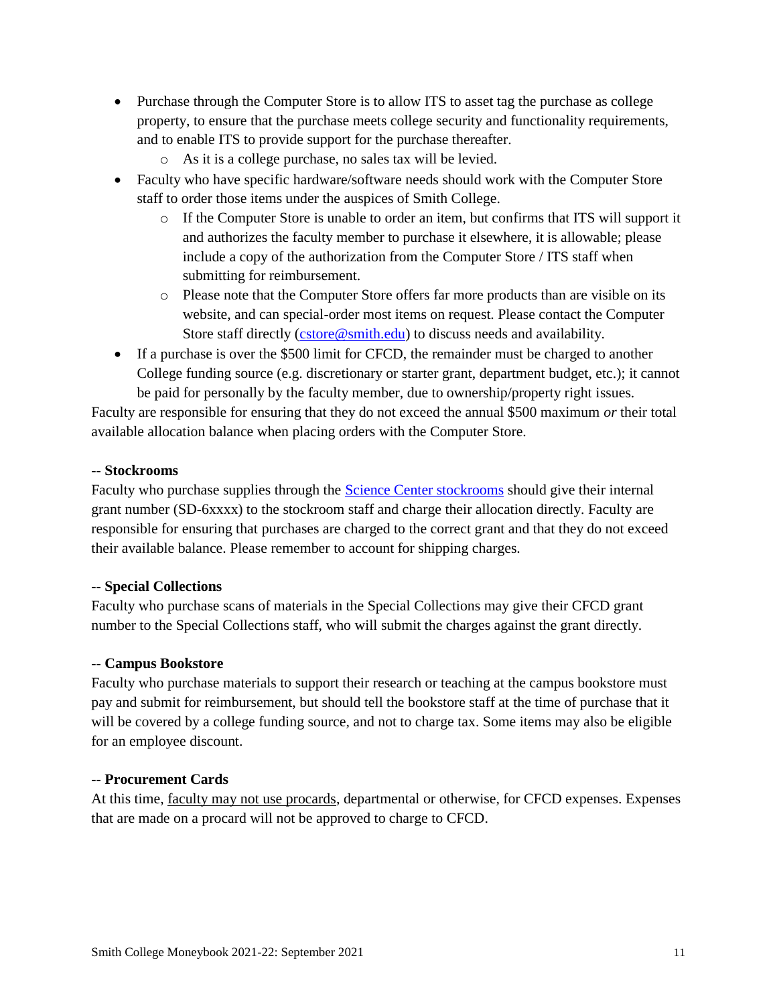- Purchase through the Computer Store is to allow ITS to asset tag the purchase as college property, to ensure that the purchase meets college security and functionality requirements, and to enable ITS to provide support for the purchase thereafter.
	- o As it is a college purchase, no sales tax will be levied.
- Faculty who have specific hardware/software needs should work with the Computer Store staff to order those items under the auspices of Smith College.
	- $\circ$  If the Computer Store is unable to order an item, but confirms that ITS will support it and authorizes the faculty member to purchase it elsewhere, it is allowable; please include a copy of the authorization from the Computer Store / ITS staff when submitting for reimbursement.
	- o Please note that the Computer Store offers far more products than are visible on its website, and can special-order most items on request. Please contact the Computer Store staff directly (*cstore@smith.edu*) to discuss needs and availability.
- If a purchase is over the \$500 limit for CFCD, the remainder must be charged to another College funding source (e.g. discretionary or starter grant, department budget, etc.); it cannot be paid for personally by the faculty member, due to ownership/property right issues.

Faculty are responsible for ensuring that they do not exceed the annual \$500 maximum *or* their total available allocation balance when placing orders with the Computer Store.

#### **-- Stockrooms**

Faculty who purchase supplies through the [Science Center stockrooms](http://www.science.smith.edu/stockroom/) should give their internal grant number (SD-6xxxx) to the stockroom staff and charge their allocation directly. Faculty are responsible for ensuring that purchases are charged to the correct grant and that they do not exceed their available balance. Please remember to account for shipping charges.

#### **-- Special Collections**

Faculty who purchase scans of materials in the Special Collections may give their CFCD grant number to the Special Collections staff, who will submit the charges against the grant directly.

#### **-- Campus Bookstore**

Faculty who purchase materials to support their research or teaching at the campus bookstore must pay and submit for reimbursement, but should tell the bookstore staff at the time of purchase that it will be covered by a college funding source, and not to charge tax. Some items may also be eligible for an employee discount.

#### **-- Procurement Cards**

At this time, faculty may not use procards, departmental or otherwise, for CFCD expenses. Expenses that are made on a procard will not be approved to charge to CFCD.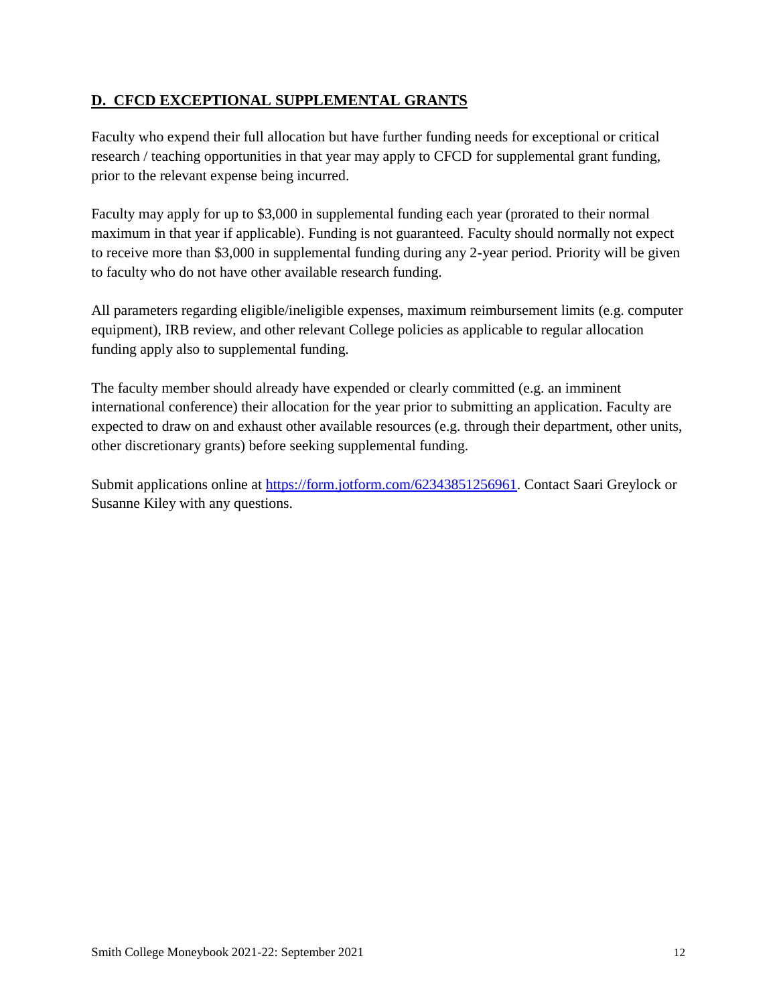### <span id="page-11-0"></span>**D. CFCD EXCEPTIONAL SUPPLEMENTAL GRANTS**

Faculty who expend their full allocation but have further funding needs for exceptional or critical research / teaching opportunities in that year may apply to CFCD for supplemental grant funding, prior to the relevant expense being incurred.

Faculty may apply for up to \$3,000 in supplemental funding each year (prorated to their normal maximum in that year if applicable). Funding is not guaranteed. Faculty should normally not expect to receive more than \$3,000 in supplemental funding during any 2-year period. Priority will be given to faculty who do not have other available research funding.

All parameters regarding eligible/ineligible expenses, maximum reimbursement limits (e.g. computer equipment), IRB review, and other relevant College policies as applicable to regular allocation funding apply also to supplemental funding.

The faculty member should already have expended or clearly committed (e.g. an imminent international conference) their allocation for the year prior to submitting an application. Faculty are expected to draw on and exhaust other available resources (e.g. through their department, other units, other discretionary grants) before seeking supplemental funding.

Submit applications online at [https://form.jotform.com/62343851256961.](https://form.jotform.com/62343851256961) Contact Saari Greylock or Susanne Kiley with any questions.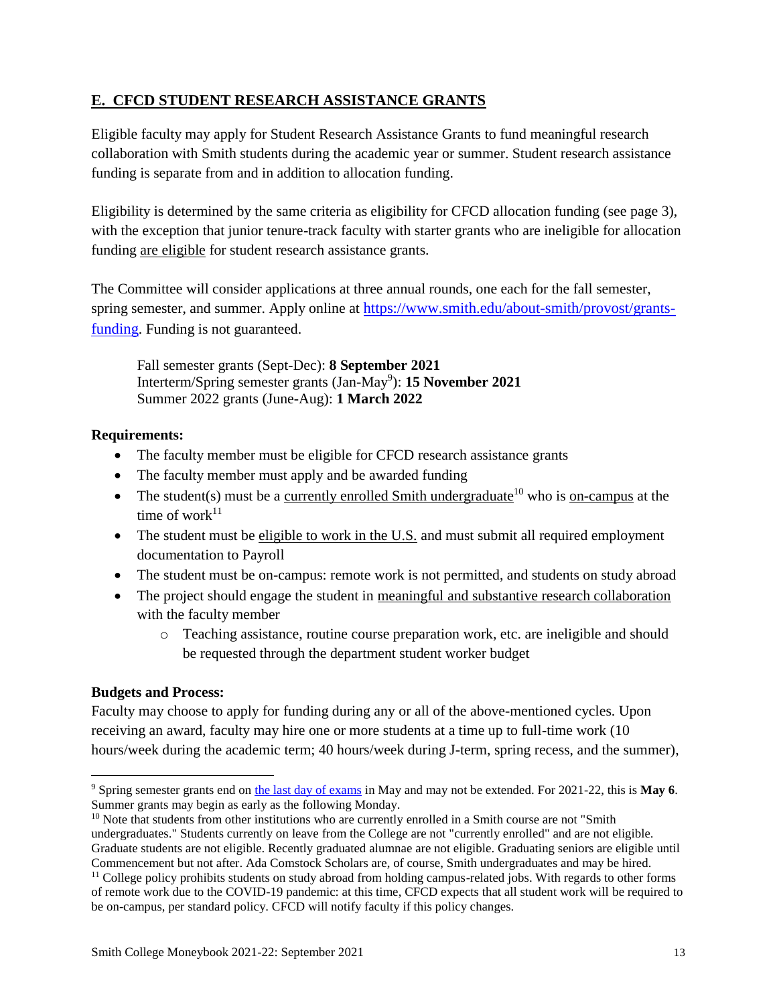#### <span id="page-12-0"></span>**E. CFCD STUDENT RESEARCH ASSISTANCE GRANTS**

Eligible faculty may apply for Student Research Assistance Grants to fund meaningful research collaboration with Smith students during the academic year or summer. Student research assistance funding is separate from and in addition to allocation funding.

Eligibility is determined by the same criteria as eligibility for CFCD allocation funding (see page 3), with the exception that junior tenure-track faculty with starter grants who are ineligible for allocation funding are eligible for student research assistance grants.

The Committee will consider applications at three annual rounds, one each for the fall semester, spring semester, and summer. Apply online at [https://www.smith.edu/about-smith/provost/grants](https://www.smith.edu/about-smith/provost/grants-funding)[funding](https://www.smith.edu/about-smith/provost/grants-funding). Funding is not guaranteed.

Fall semester grants (Sept-Dec): **8 September 2021** Interterm/Spring semester grants (Jan-May<sup>9</sup> ): **15 November 2021** Summer 2022 grants (June-Aug): **1 March 2022**

#### **Requirements:**

- The faculty member must be eligible for CFCD research assistance grants
- The faculty member must apply and be awarded funding
- The student(s) must be a <u>currently enrolled Smith undergraduate</u><sup>10</sup> who is on-campus at the time of work $11$
- The student must be eligible to work in the U.S. and must submit all required employment documentation to Payroll
- The student must be on-campus: remote work is not permitted, and students on study abroad
- The project should engage the student in meaningful and substantive research collaboration with the faculty member
	- o Teaching assistance, routine course preparation work, etc. are ineligible and should be requested through the department student worker budget

#### **Budgets and Process:**

 $\overline{a}$ 

Faculty may choose to apply for funding during any or all of the above-mentioned cycles. Upon receiving an award, faculty may hire one or more students at a time up to full-time work (10 hours/week during the academic term; 40 hours/week during J-term, spring recess, and the summer),

<sup>9</sup> Spring semester grants end on [the last day of exams](https://www.smith.edu/academics/academic-calendar) in May and may not be extended. For 2021-22, this is **May 6**. Summer grants may begin as early as the following Monday.

 $10$  Note that students from other institutions who are currently enrolled in a Smith course are not "Smith" undergraduates." Students currently on leave from the College are not "currently enrolled" and are not eligible. Graduate students are not eligible. Recently graduated alumnae are not eligible. Graduating seniors are eligible until Commencement but not after. Ada Comstock Scholars are, of course, Smith undergraduates and may be hired.

<sup>&</sup>lt;sup>11</sup> College policy prohibits students on study abroad from holding campus-related jobs. With regards to other forms of remote work due to the COVID-19 pandemic: at this time, CFCD expects that all student work will be required to be on-campus, per standard policy. CFCD will notify faculty if this policy changes.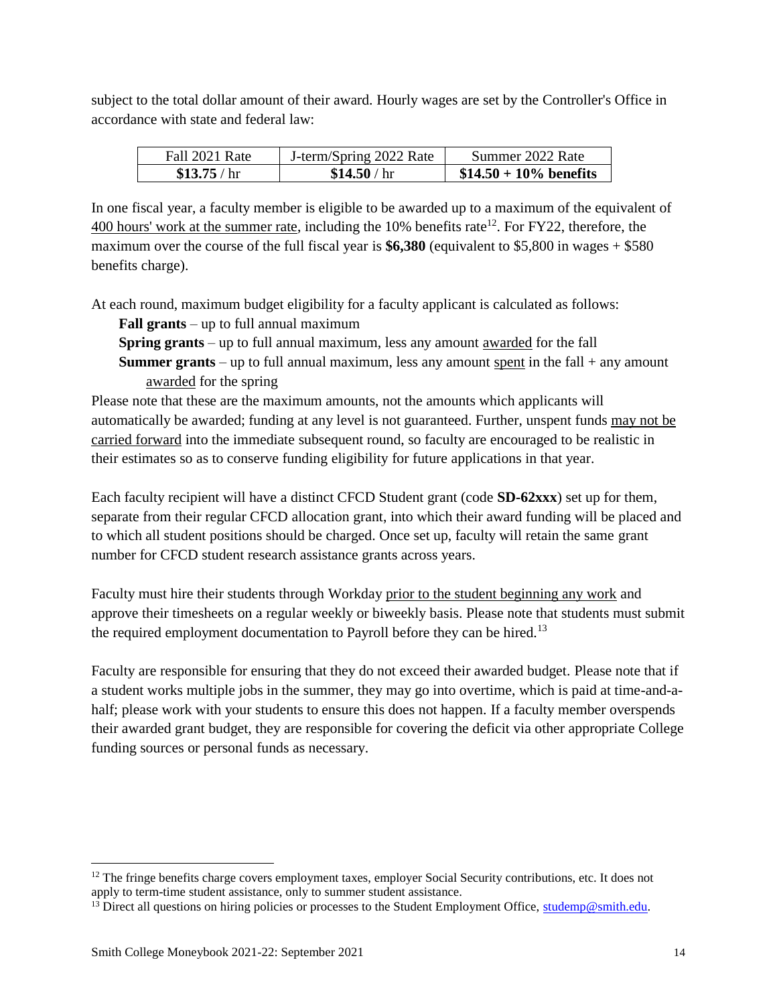subject to the total dollar amount of their award. Hourly wages are set by the Controller's Office in accordance with state and federal law:

| Fall 2021 Rate | J-term/Spring 2022 Rate | Summer 2022 Rate         |
|----------------|-------------------------|--------------------------|
| \$13.75/hr     | \$14.50/hr              | $$14.50 + 10\%$ benefits |

In one fiscal year, a faculty member is eligible to be awarded up to a maximum of the equivalent of  $400$  hours' work at the summer rate, including the 10% benefits rate<sup>12</sup>. For FY22, therefore, the maximum over the course of the full fiscal year is **\$6,380** (equivalent to \$5,800 in wages + \$580 benefits charge).

At each round, maximum budget eligibility for a faculty applicant is calculated as follows:

**Fall grants** – up to full annual maximum

**Spring grants** – up to full annual maximum, less any amount awarded for the fall **Summer grants** – up to full annual maximum, less any amount spent in the fall + any amount

awarded for the spring

Please note that these are the maximum amounts, not the amounts which applicants will automatically be awarded; funding at any level is not guaranteed. Further, unspent funds may not be carried forward into the immediate subsequent round, so faculty are encouraged to be realistic in their estimates so as to conserve funding eligibility for future applications in that year.

Each faculty recipient will have a distinct CFCD Student grant (code **SD-62xxx**) set up for them, separate from their regular CFCD allocation grant, into which their award funding will be placed and to which all student positions should be charged. Once set up, faculty will retain the same grant number for CFCD student research assistance grants across years.

Faculty must hire their students through Workday prior to the student beginning any work and approve their timesheets on a regular weekly or biweekly basis. Please note that students must submit the required employment documentation to Payroll before they can be hired.<sup>13</sup>

Faculty are responsible for ensuring that they do not exceed their awarded budget. Please note that if a student works multiple jobs in the summer, they may go into overtime, which is paid at time-and-ahalf; please work with your students to ensure this does not happen. If a faculty member overspends their awarded grant budget, they are responsible for covering the deficit via other appropriate College funding sources or personal funds as necessary.

 $\overline{a}$ 

<sup>&</sup>lt;sup>12</sup> The fringe benefits charge covers employment taxes, employer Social Security contributions, etc. It does not apply to term-time student assistance, only to summer student assistance.

 $13$  Direct all questions on hiring policies or processes to the Student Employment Office, [studemp@smith.edu.](mailto:%20%20studemp@smith.edu)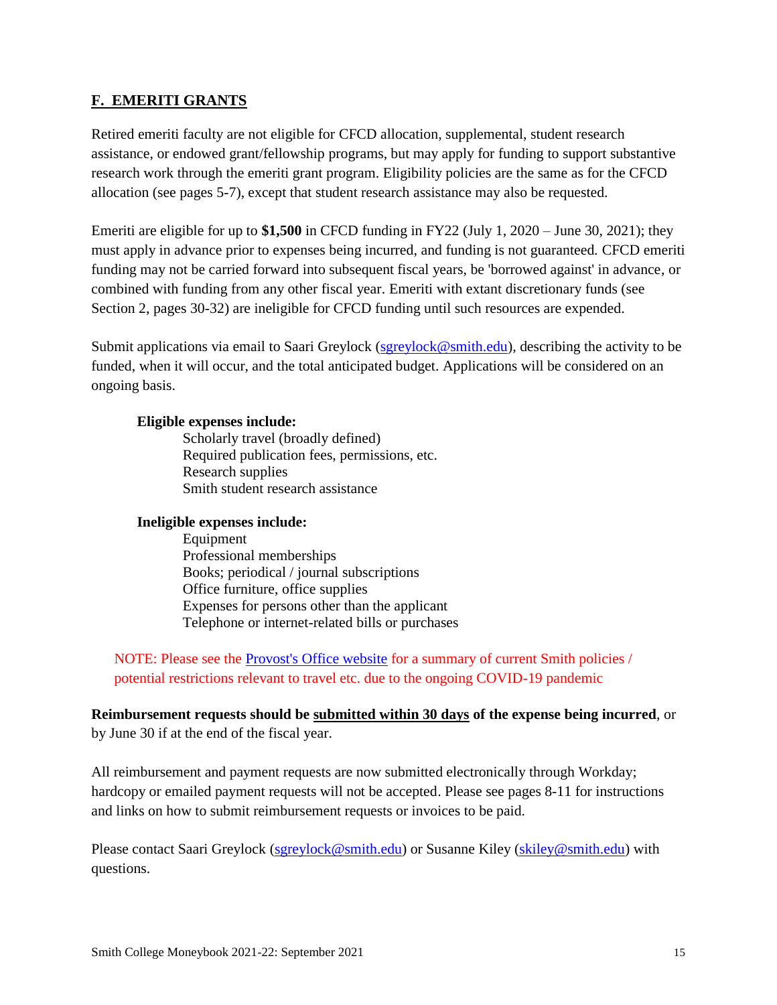#### <span id="page-14-0"></span>**F. [EMERITI GRANTS](#page-14-0)**

Retired emeriti faculty are not eligible for CFCD allocation, supplemental, student research assistance, or endowed grant/fellowship programs, but may apply for funding to support substantive research work through the emeriti grant program. Eligibility policies are the same as for the CFCD allocation (see pages 5-7), except that student research assistance may also be requested.

Emeriti are eligible for up to **\$1,500** in CFCD funding in FY22 (July 1, 2020 – June 30, 2021); they must apply in advance prior to expenses being incurred, and funding is not guaranteed. CFCD emeriti funding may not be carried forward into subsequent fiscal years, be 'borrowed against' in advance, or combined with funding from any other fiscal year. Emeriti with extant discretionary funds (see Section 2, pages 30-32) are ineligible for CFCD funding until such resources are expended.

Submit applications via email to Saari Greylock [\(sgreylock@smith.edu\)](mailto:sgreylock@smith.edu), describing the activity to be funded, when it will occur, and the total anticipated budget. Applications will be considered on an ongoing basis.

#### **Eligible expenses include:**

Scholarly travel (broadly defined) Required publication fees, permissions, etc. Research supplies Smith student research assistance

#### **Ineligible expenses include:**

Equipment Professional memberships Books; periodical / journal subscriptions Office furniture, office supplies Expenses for persons other than the applicant Telephone or internet-related bills or purchases

NOTE: Please see the [Provost's Office website](https://www.smith.edu/about-smith/provost/grants-funding) for a summary of current Smith policies / potential restrictions relevant to travel etc. due to the ongoing COVID-19 pandemic

#### **Reimbursement requests should be submitted within 30 days of the expense being incurred**, or by June 30 if at the end of the fiscal year.

All reimbursement and payment requests are now submitted electronically through Workday; hardcopy or emailed payment requests will not be accepted. Please see pages 8-11 for instructions and links on how to submit reimbursement requests or invoices to be paid.

Please contact Saari Greylock [\(sgreylock@smith.edu\)](mailto:sgreylock@smith.edu) or Susanne Kiley [\(skiley@smith.edu\)](mailto:skiley@smith.edu) with questions.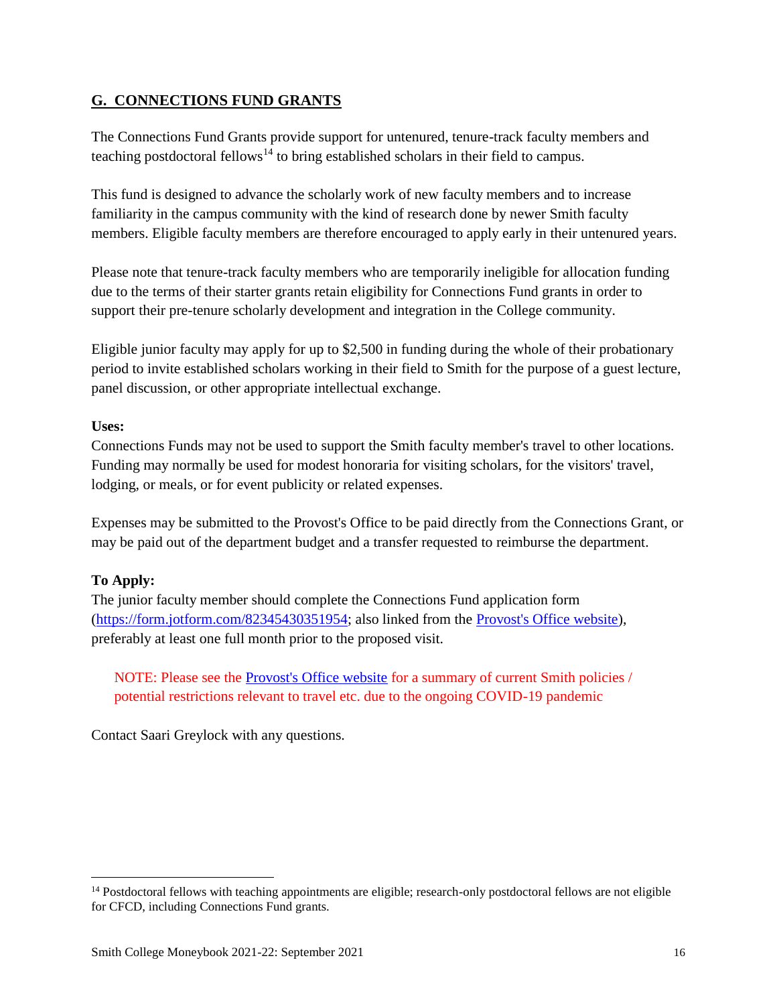#### <span id="page-15-0"></span>**G. CONNECTIONS FUND GRANTS**

The Connections Fund Grants provide support for untenured, tenure-track faculty members and teaching postdoctoral fellows<sup>14</sup> to bring established scholars in their field to campus.

This fund is designed to advance the scholarly work of new faculty members and to increase familiarity in the campus community with the kind of research done by newer Smith faculty members. Eligible faculty members are therefore encouraged to apply early in their untenured years.

Please note that tenure-track faculty members who are temporarily ineligible for allocation funding due to the terms of their starter grants retain eligibility for Connections Fund grants in order to support their pre-tenure scholarly development and integration in the College community.

Eligible junior faculty may apply for up to \$2,500 in funding during the whole of their probationary period to invite established scholars working in their field to Smith for the purpose of a guest lecture, panel discussion, or other appropriate intellectual exchange.

#### **Uses:**

Connections Funds may not be used to support the Smith faculty member's travel to other locations. Funding may normally be used for modest honoraria for visiting scholars, for the visitors' travel, lodging, or meals, or for event publicity or related expenses.

Expenses may be submitted to the Provost's Office to be paid directly from the Connections Grant, or may be paid out of the department budget and a transfer requested to reimburse the department.

#### **To Apply:**

 $\overline{a}$ 

The junior faculty member should complete the Connections Fund application form [\(https://form.jotform.com/82345430351954;](https://form.jotform.com/82345430351954) also linked from the [Provost's Office website\)](https://www.smith.edu/about-smith/provost/grants-funding), preferably at least one full month prior to the proposed visit.

NOTE: Please see the [Provost's Office website](https://www.smith.edu/about-smith/provost/grants-funding) for a summary of current Smith policies / potential restrictions relevant to travel etc. due to the ongoing COVID-19 pandemic

Contact Saari Greylock with any questions.

<sup>&</sup>lt;sup>14</sup> Postdoctoral fellows with teaching appointments are eligible; research-only postdoctoral fellows are not eligible for CFCD, including Connections Fund grants.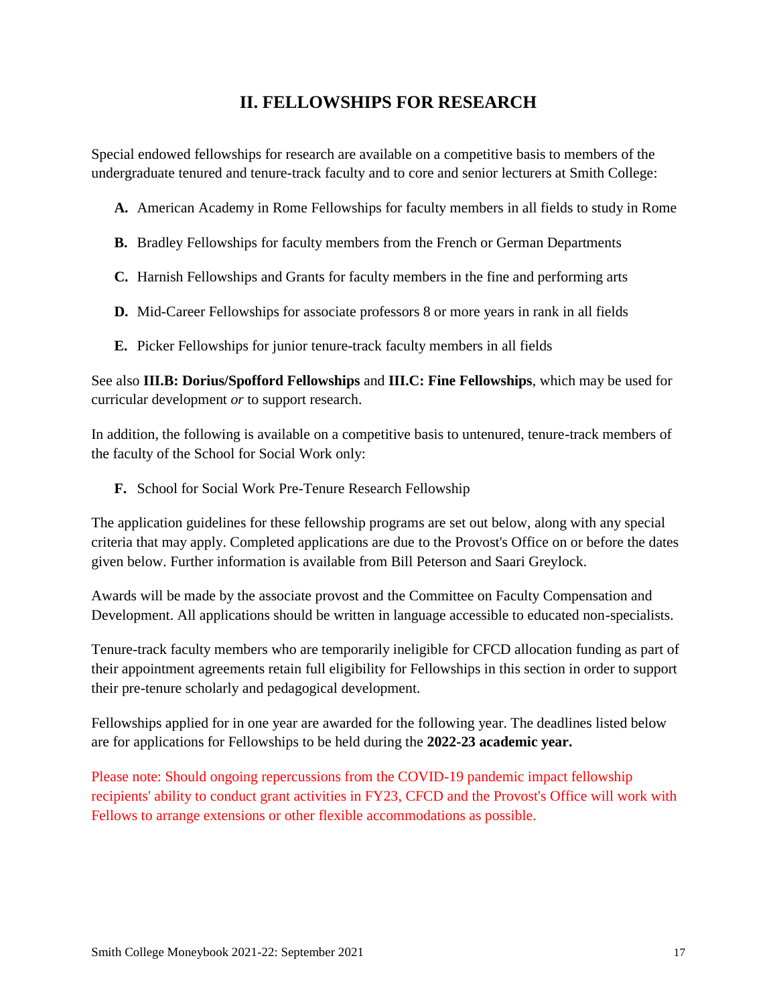# **II. FELLOWSHIPS FOR RESEARCH**

<span id="page-16-0"></span>Special endowed fellowships for research are available on a competitive basis to members of the undergraduate tenured and tenure-track faculty and to core and senior lecturers at Smith College:

**A.** American Academy in Rome Fellowships for faculty members in all fields to study in Rome

- **B.** Bradley Fellowships for faculty members from the French or German Departments
- **C.** Harnish Fellowships and Grants for faculty members in the fine and performing arts
- **D.** Mid-Career Fellowships for associate professors 8 or more years in rank in all fields
- **E.** Picker Fellowships for junior tenure-track faculty members in all fields

See also **III.B: Dorius/Spofford Fellowships** and **III.C: Fine Fellowships**, which may be used for curricular development *or* to support research.

In addition, the following is available on a competitive basis to untenured, tenure-track members of the faculty of the School for Social Work only:

**F.** School for Social Work Pre-Tenure Research Fellowship

The application guidelines for these fellowship programs are set out below, along with any special criteria that may apply. Completed applications are due to the Provost's Office on or before the dates given below. Further information is available from Bill Peterson and Saari Greylock.

Awards will be made by the associate provost and the Committee on Faculty Compensation and Development. All applications should be written in language accessible to educated non-specialists.

Tenure-track faculty members who are temporarily ineligible for CFCD allocation funding as part of their appointment agreements retain full eligibility for Fellowships in this section in order to support their pre-tenure scholarly and pedagogical development.

Fellowships applied for in one year are awarded for the following year. The deadlines listed below are for applications for Fellowships to be held during the **2022-23 academic year.** 

Please note: Should ongoing repercussions from the COVID-19 pandemic impact fellowship recipients' ability to conduct grant activities in FY23, CFCD and the Provost's Office will work with Fellows to arrange extensions or other flexible accommodations as possible.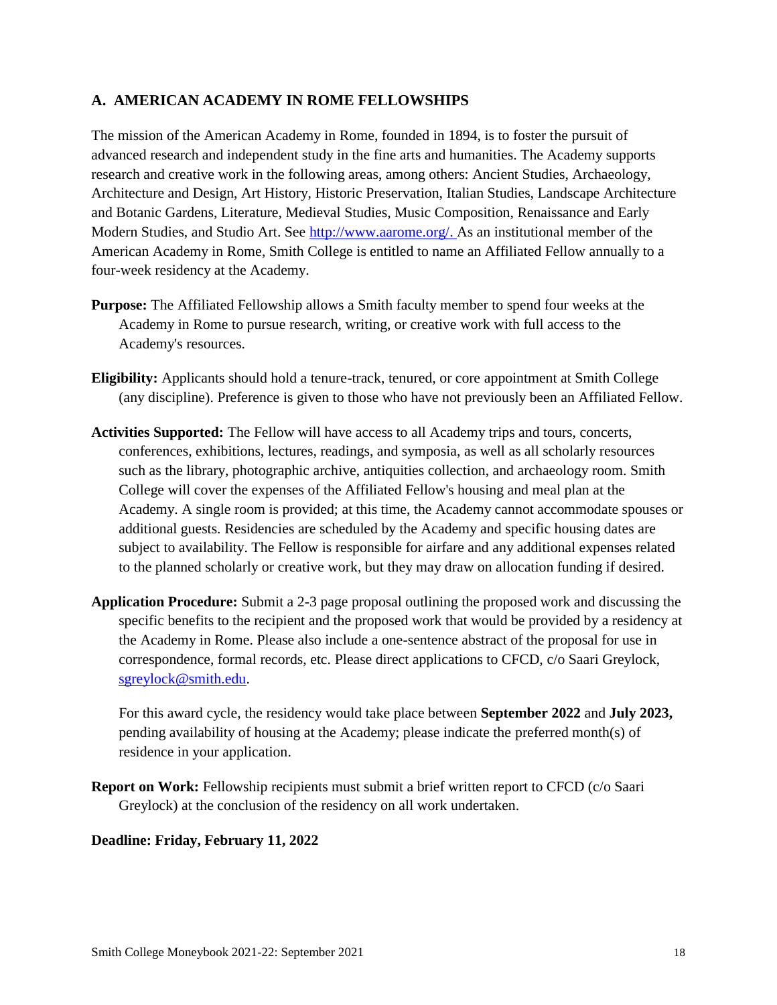#### <span id="page-17-0"></span>**A. AMERICAN ACADEMY IN ROME FELLOWSHIPS**

The mission of the American Academy in Rome, founded in 1894, is to foster the pursuit of advanced research and independent study in the fine arts and humanities. The Academy supports research and creative work in the following areas, among others: Ancient Studies, Archaeology, Architecture and Design, Art History, Historic Preservation, Italian Studies, Landscape Architecture and Botanic Gardens, Literature, Medieval Studies, Music Composition, Renaissance and Early Modern Studies, and Studio Art. See [http://www.aarome.org/.](http://www.aarome.org/) As an institutional member of the American Academy in Rome, Smith College is entitled to name an Affiliated Fellow annually to a four-week residency at the Academy.

- **Purpose:** The Affiliated Fellowship allows a Smith faculty member to spend four weeks at the Academy in Rome to pursue research, writing, or creative work with full access to the Academy's resources.
- **Eligibility:** Applicants should hold a tenure-track, tenured, or core appointment at Smith College (any discipline). Preference is given to those who have not previously been an Affiliated Fellow.
- **Activities Supported:** The Fellow will have access to all Academy trips and tours, concerts, conferences, exhibitions, lectures, readings, and symposia, as well as all scholarly resources such as the library, photographic archive, antiquities collection, and archaeology room. Smith College will cover the expenses of the Affiliated Fellow's housing and meal plan at the Academy. A single room is provided; at this time, the Academy cannot accommodate spouses or additional guests. Residencies are scheduled by the Academy and specific housing dates are subject to availability. The Fellow is responsible for airfare and any additional expenses related to the planned scholarly or creative work, but they may draw on allocation funding if desired.
- **Application Procedure:** Submit a 2-3 page proposal outlining the proposed work and discussing the specific benefits to the recipient and the proposed work that would be provided by a residency at the Academy in Rome. Please also include a one-sentence abstract of the proposal for use in correspondence, formal records, etc. Please direct applications to CFCD, c/o Saari Greylock, [sgreylock@smith.edu.](mailto:sgreylock@smith.edu)

For this award cycle, the residency would take place between **September 2022** and **July 2023,**  pending availability of housing at the Academy; please indicate the preferred month(s) of residence in your application.

**Report on Work:** Fellowship recipients must submit a brief written report to CFCD (c/o Saari) Greylock) at the conclusion of the residency on all work undertaken.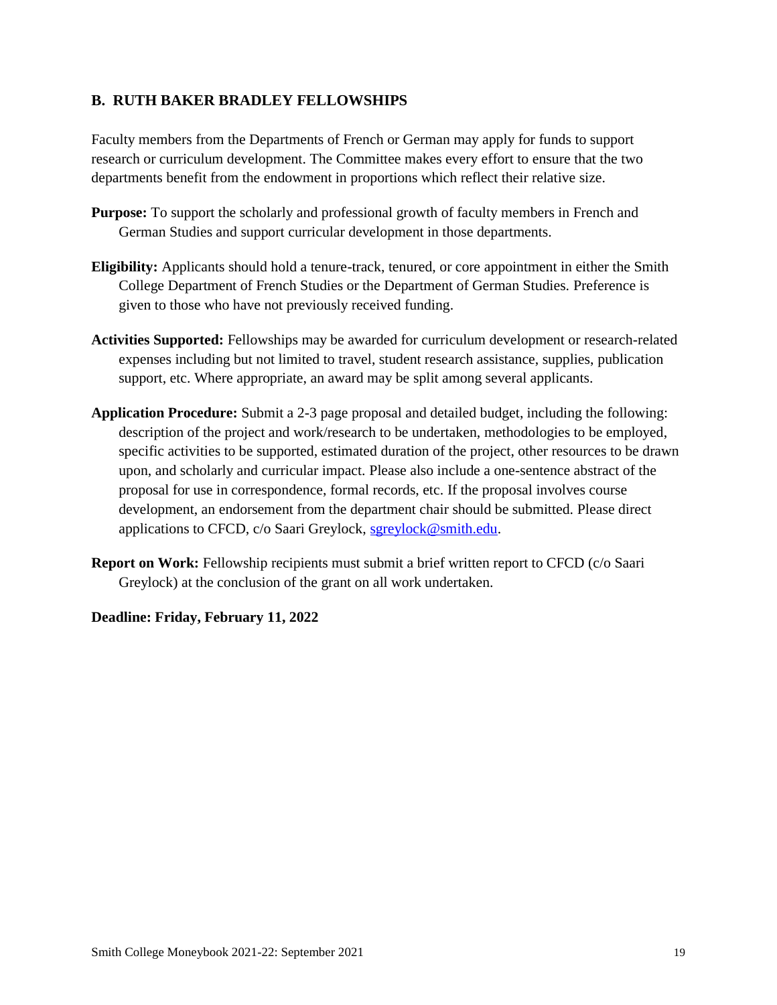#### <span id="page-18-0"></span>**B. RUTH BAKER BRADLEY FELLOWSHIPS**

Faculty members from the Departments of French or German may apply for funds to support research or curriculum development. The Committee makes every effort to ensure that the two departments benefit from the endowment in proportions which reflect their relative size.

- **Purpose:** To support the scholarly and professional growth of faculty members in French and German Studies and support curricular development in those departments.
- **Eligibility:** Applicants should hold a tenure-track, tenured, or core appointment in either the Smith College Department of French Studies or the Department of German Studies. Preference is given to those who have not previously received funding.
- **Activities Supported:** Fellowships may be awarded for curriculum development or research-related expenses including but not limited to travel, student research assistance, supplies, publication support, etc. Where appropriate, an award may be split among several applicants.
- **Application Procedure:** Submit a 2-3 page proposal and detailed budget, including the following: description of the project and work/research to be undertaken, methodologies to be employed, specific activities to be supported, estimated duration of the project, other resources to be drawn upon, and scholarly and curricular impact. Please also include a one-sentence abstract of the proposal for use in correspondence, formal records, etc. If the proposal involves course development, an endorsement from the department chair should be submitted. Please direct applications to CFCD, c/o Saari Greylock, [sgreylock@smith.edu.](mailto:sgreylock@smith.edu)
- **Report on Work:** Fellowship recipients must submit a brief written report to CFCD (c/o Saari) Greylock) at the conclusion of the grant on all work undertaken.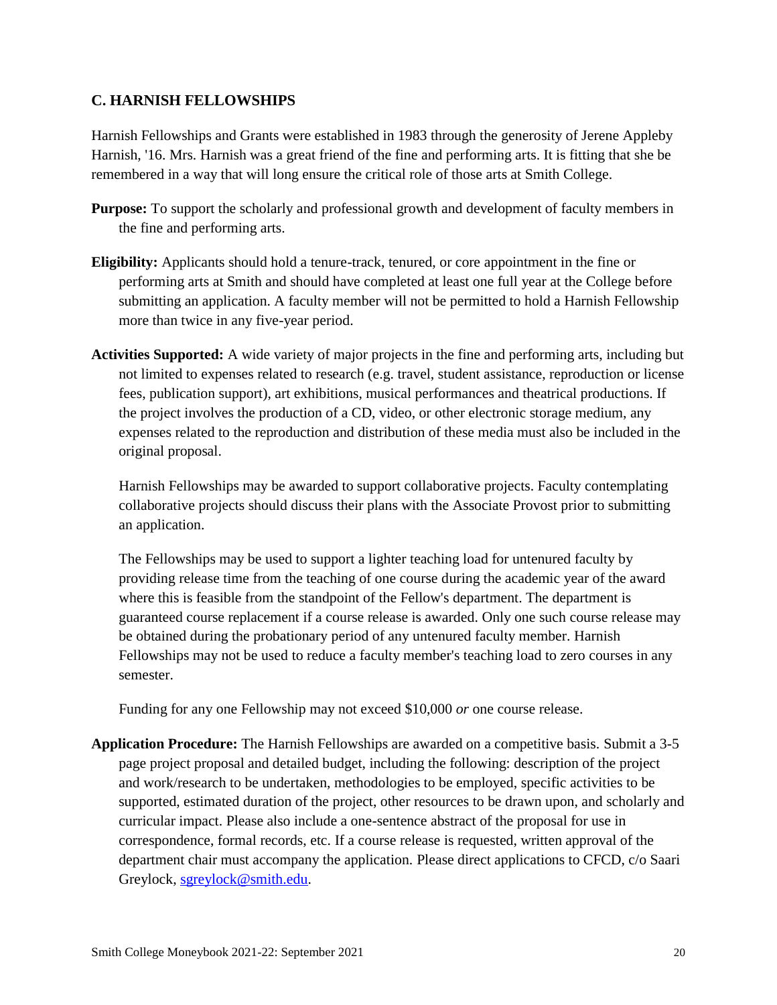#### <span id="page-19-0"></span>**C. HARNISH FELLOWSHIPS**

Harnish Fellowships and Grants were established in 1983 through the generosity of Jerene Appleby Harnish, '16. Mrs. Harnish was a great friend of the fine and performing arts. It is fitting that she be remembered in a way that will long ensure the critical role of those arts at Smith College.

- **Purpose:** To support the scholarly and professional growth and development of faculty members in the fine and performing arts.
- **Eligibility:** Applicants should hold a tenure-track, tenured, or core appointment in the fine or performing arts at Smith and should have completed at least one full year at the College before submitting an application. A faculty member will not be permitted to hold a Harnish Fellowship more than twice in any five-year period.
- **Activities Supported:** A wide variety of major projects in the fine and performing arts, including but not limited to expenses related to research (e.g. travel, student assistance, reproduction or license fees, publication support), art exhibitions, musical performances and theatrical productions. If the project involves the production of a CD, video, or other electronic storage medium, any expenses related to the reproduction and distribution of these media must also be included in the original proposal.

Harnish Fellowships may be awarded to support collaborative projects. Faculty contemplating collaborative projects should discuss their plans with the Associate Provost prior to submitting an application.

The Fellowships may be used to support a lighter teaching load for untenured faculty by providing release time from the teaching of one course during the academic year of the award where this is feasible from the standpoint of the Fellow's department. The department is guaranteed course replacement if a course release is awarded. Only one such course release may be obtained during the probationary period of any untenured faculty member. Harnish Fellowships may not be used to reduce a faculty member's teaching load to zero courses in any semester.

Funding for any one Fellowship may not exceed \$10,000 *or* one course release.

**Application Procedure:** The Harnish Fellowships are awarded on a competitive basis. Submit a 3-5 page project proposal and detailed budget, including the following: description of the project and work/research to be undertaken, methodologies to be employed, specific activities to be supported, estimated duration of the project, other resources to be drawn upon, and scholarly and curricular impact. Please also include a one-sentence abstract of the proposal for use in correspondence, formal records, etc. If a course release is requested, written approval of the department chair must accompany the application. Please direct applications to CFCD, c/o Saari Greylock, [sgreylock@smith.edu.](mailto:sgreylock@smith.edu)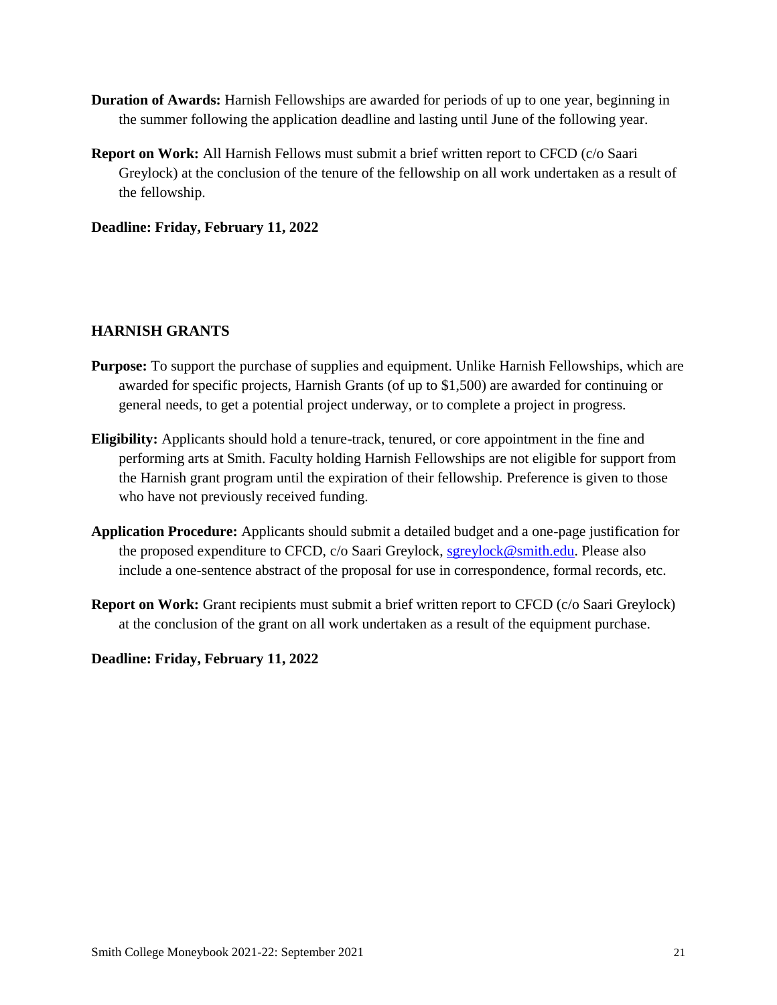- **Duration of Awards:** Harnish Fellowships are awarded for periods of up to one year, beginning in the summer following the application deadline and lasting until June of the following year.
- **Report on Work:** All Harnish Fellows must submit a brief written report to CFCD (c/o Saari Greylock) at the conclusion of the tenure of the fellowship on all work undertaken as a result of the fellowship.

**Deadline: Friday, February 11, 2022**

#### **HARNISH GRANTS**

- **Purpose:** To support the purchase of supplies and equipment. Unlike Harnish Fellowships, which are awarded for specific projects, Harnish Grants (of up to \$1,500) are awarded for continuing or general needs, to get a potential project underway, or to complete a project in progress.
- **Eligibility:** Applicants should hold a tenure-track, tenured, or core appointment in the fine and performing arts at Smith. Faculty holding Harnish Fellowships are not eligible for support from the Harnish grant program until the expiration of their fellowship. Preference is given to those who have not previously received funding.
- **Application Procedure:** Applicants should submit a detailed budget and a one-page justification for the proposed expenditure to CFCD, c/o Saari Greylock, [sgreylock@smith.edu.](mailto:sgreylock@smith.edu) Please also include a one-sentence abstract of the proposal for use in correspondence, formal records, etc.
- **Report on Work:** Grant recipients must submit a brief written report to CFCD (c/o Saari Greylock) at the conclusion of the grant on all work undertaken as a result of the equipment purchase.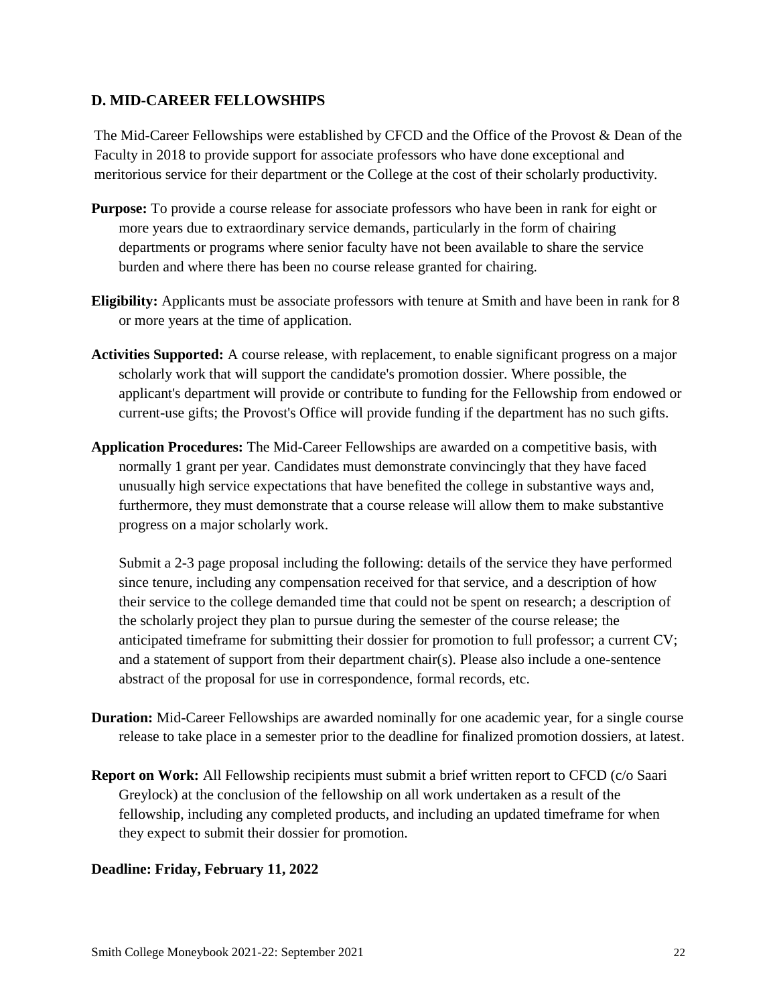#### <span id="page-21-0"></span>**D. MID-CAREER FELLOWSHIPS**

The Mid-Career Fellowships were established by CFCD and the Office of the Provost & Dean of the Faculty in 2018 to provide support for associate professors who have done exceptional and meritorious service for their department or the College at the cost of their scholarly productivity.

- **Purpose:** To provide a course release for associate professors who have been in rank for eight or more years due to extraordinary service demands, particularly in the form of chairing departments or programs where senior faculty have not been available to share the service burden and where there has been no course release granted for chairing.
- **Eligibility:** Applicants must be associate professors with tenure at Smith and have been in rank for 8 or more years at the time of application.
- **Activities Supported:** A course release, with replacement, to enable significant progress on a major scholarly work that will support the candidate's promotion dossier. Where possible, the applicant's department will provide or contribute to funding for the Fellowship from endowed or current-use gifts; the Provost's Office will provide funding if the department has no such gifts.
- **Application Procedures:** The Mid-Career Fellowships are awarded on a competitive basis, with normally 1 grant per year. Candidates must demonstrate convincingly that they have faced unusually high service expectations that have benefited the college in substantive ways and, furthermore, they must demonstrate that a course release will allow them to make substantive progress on a major scholarly work.

Submit a 2-3 page proposal including the following: details of the service they have performed since tenure, including any compensation received for that service, and a description of how their service to the college demanded time that could not be spent on research; a description of the scholarly project they plan to pursue during the semester of the course release; the anticipated timeframe for submitting their dossier for promotion to full professor; a current CV; and a statement of support from their department chair(s). Please also include a one-sentence abstract of the proposal for use in correspondence, formal records, etc.

- **Duration:** Mid-Career Fellowships are awarded nominally for one academic year, for a single course release to take place in a semester prior to the deadline for finalized promotion dossiers, at latest.
- **Report on Work:** All Fellowship recipients must submit a brief written report to CFCD (c/o Saari Greylock) at the conclusion of the fellowship on all work undertaken as a result of the fellowship, including any completed products, and including an updated timeframe for when they expect to submit their dossier for promotion.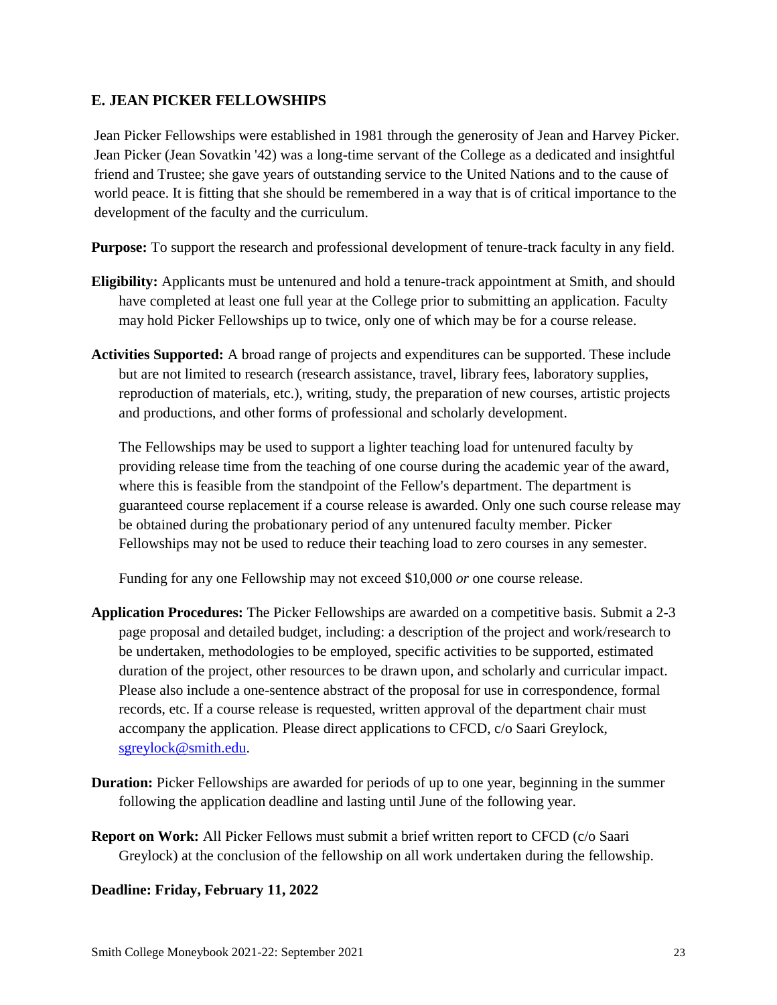#### <span id="page-22-0"></span>**E. JEAN PICKER FELLOWSHIPS**

Jean Picker Fellowships were established in 1981 through the generosity of Jean and Harvey Picker. Jean Picker (Jean Sovatkin '42) was a long-time servant of the College as a dedicated and insightful friend and Trustee; she gave years of outstanding service to the United Nations and to the cause of world peace. It is fitting that she should be remembered in a way that is of critical importance to the development of the faculty and the curriculum.

**Purpose:** To support the research and professional development of tenure-track faculty in any field.

- **Eligibility:** Applicants must be untenured and hold a tenure-track appointment at Smith, and should have completed at least one full year at the College prior to submitting an application. Faculty may hold Picker Fellowships up to twice, only one of which may be for a course release.
- **Activities Supported:** A broad range of projects and expenditures can be supported. These include but are not limited to research (research assistance, travel, library fees, laboratory supplies, reproduction of materials, etc.), writing, study, the preparation of new courses, artistic projects and productions, and other forms of professional and scholarly development.

The Fellowships may be used to support a lighter teaching load for untenured faculty by providing release time from the teaching of one course during the academic year of the award, where this is feasible from the standpoint of the Fellow's department. The department is guaranteed course replacement if a course release is awarded. Only one such course release may be obtained during the probationary period of any untenured faculty member. Picker Fellowships may not be used to reduce their teaching load to zero courses in any semester.

Funding for any one Fellowship may not exceed \$10,000 *or* one course release.

- **Application Procedures:** The Picker Fellowships are awarded on a competitive basis. Submit a 2-3 page proposal and detailed budget, including: a description of the project and work/research to be undertaken, methodologies to be employed, specific activities to be supported, estimated duration of the project, other resources to be drawn upon, and scholarly and curricular impact. Please also include a one-sentence abstract of the proposal for use in correspondence, formal records, etc. If a course release is requested, written approval of the department chair must accompany the application. Please direct applications to CFCD, c/o Saari Greylock, [sgreylock@smith.edu.](mailto:sgreylock@smith.edu)
- **Duration:** Picker Fellowships are awarded for periods of up to one year, beginning in the summer following the application deadline and lasting until June of the following year.
- **Report on Work:** All Picker Fellows must submit a brief written report to CFCD (c/o Saari Greylock) at the conclusion of the fellowship on all work undertaken during the fellowship.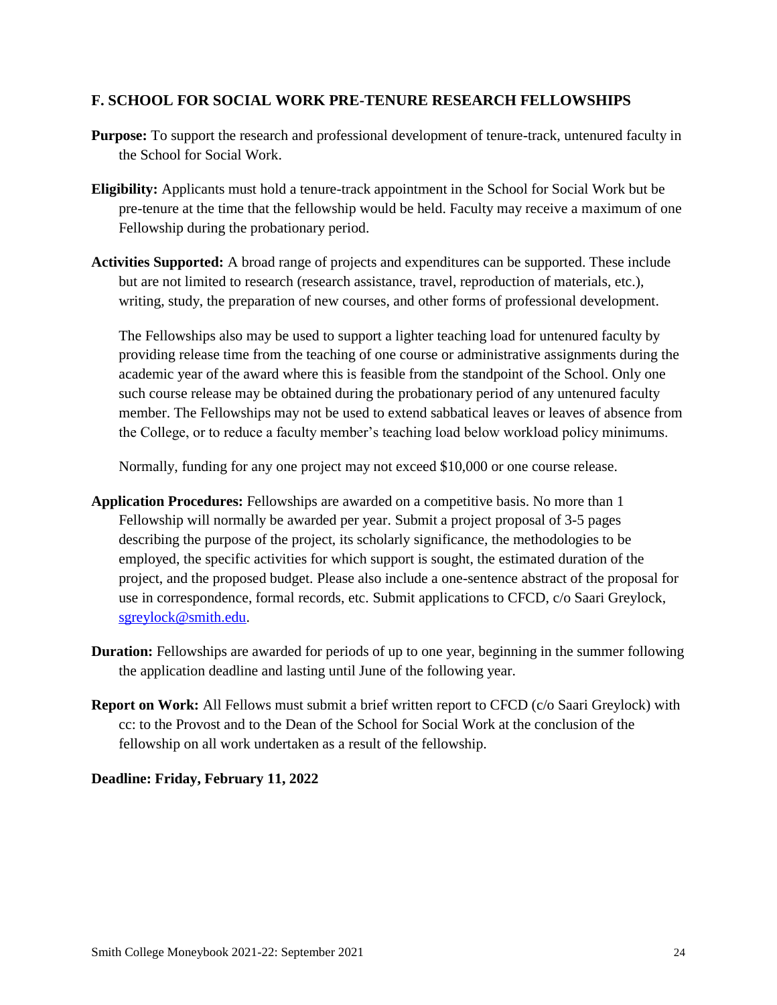#### <span id="page-23-0"></span>**F. SCHOOL FOR SOCIAL WORK PRE-TENURE RESEARCH FELLOWSHIPS**

- **Purpose:** To support the research and professional development of tenure-track, untenured faculty in the School for Social Work.
- **Eligibility:** Applicants must hold a tenure-track appointment in the School for Social Work but be pre-tenure at the time that the fellowship would be held. Faculty may receive a maximum of one Fellowship during the probationary period.
- **Activities Supported:** A broad range of projects and expenditures can be supported. These include but are not limited to research (research assistance, travel, reproduction of materials, etc.), writing, study, the preparation of new courses, and other forms of professional development.

The Fellowships also may be used to support a lighter teaching load for untenured faculty by providing release time from the teaching of one course or administrative assignments during the academic year of the award where this is feasible from the standpoint of the School. Only one such course release may be obtained during the probationary period of any untenured faculty member. The Fellowships may not be used to extend sabbatical leaves or leaves of absence from the College, or to reduce a faculty member's teaching load below workload policy minimums.

Normally, funding for any one project may not exceed \$10,000 or one course release.

- **Application Procedures:** Fellowships are awarded on a competitive basis. No more than 1 Fellowship will normally be awarded per year. Submit a project proposal of 3-5 pages describing the purpose of the project, its scholarly significance, the methodologies to be employed, the specific activities for which support is sought, the estimated duration of the project, and the proposed budget. Please also include a one-sentence abstract of the proposal for use in correspondence, formal records, etc. Submit applications to CFCD, c/o Saari Greylock, [sgreylock@smith.edu.](mailto:sgreylock@smith.edu)
- **Duration:** Fellowships are awarded for periods of up to one year, beginning in the summer following the application deadline and lasting until June of the following year.
- **Report on Work:** All Fellows must submit a brief written report to CFCD (c/o Saari Greylock) with cc: to the Provost and to the Dean of the School for Social Work at the conclusion of the fellowship on all work undertaken as a result of the fellowship.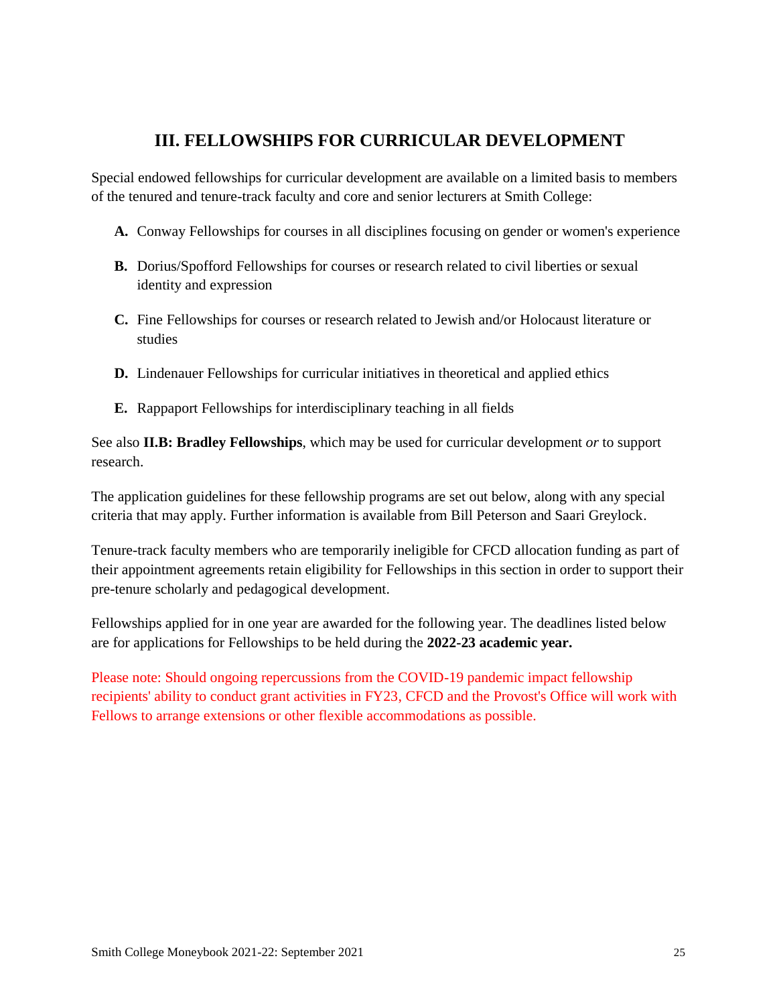# **III. FELLOWSHIPS FOR CURRICULAR DEVELOPMENT**

<span id="page-24-0"></span>Special endowed fellowships for curricular development are available on a limited basis to members of the tenured and tenure-track faculty and core and senior lecturers at Smith College:

- **A.** Conway Fellowships for courses in all disciplines focusing on gender or women's experience
- **B.** Dorius/Spofford Fellowships for courses or research related to civil liberties or sexual identity and expression
- **C.** Fine Fellowships for courses or research related to Jewish and/or Holocaust literature or studies
- **D.** Lindenauer Fellowships for curricular initiatives in theoretical and applied ethics
- **E.** Rappaport Fellowships for interdisciplinary teaching in all fields

See also **II.B: Bradley Fellowships**, which may be used for curricular development *or* to support research.

The application guidelines for these fellowship programs are set out below, along with any special criteria that may apply. Further information is available from Bill Peterson and Saari Greylock.

Tenure-track faculty members who are temporarily ineligible for CFCD allocation funding as part of their appointment agreements retain eligibility for Fellowships in this section in order to support their pre-tenure scholarly and pedagogical development.

Fellowships applied for in one year are awarded for the following year. The deadlines listed below are for applications for Fellowships to be held during the **2022-23 academic year.**

Please note: Should ongoing repercussions from the COVID-19 pandemic impact fellowship recipients' ability to conduct grant activities in FY23, CFCD and the Provost's Office will work with Fellows to arrange extensions or other flexible accommodations as possible.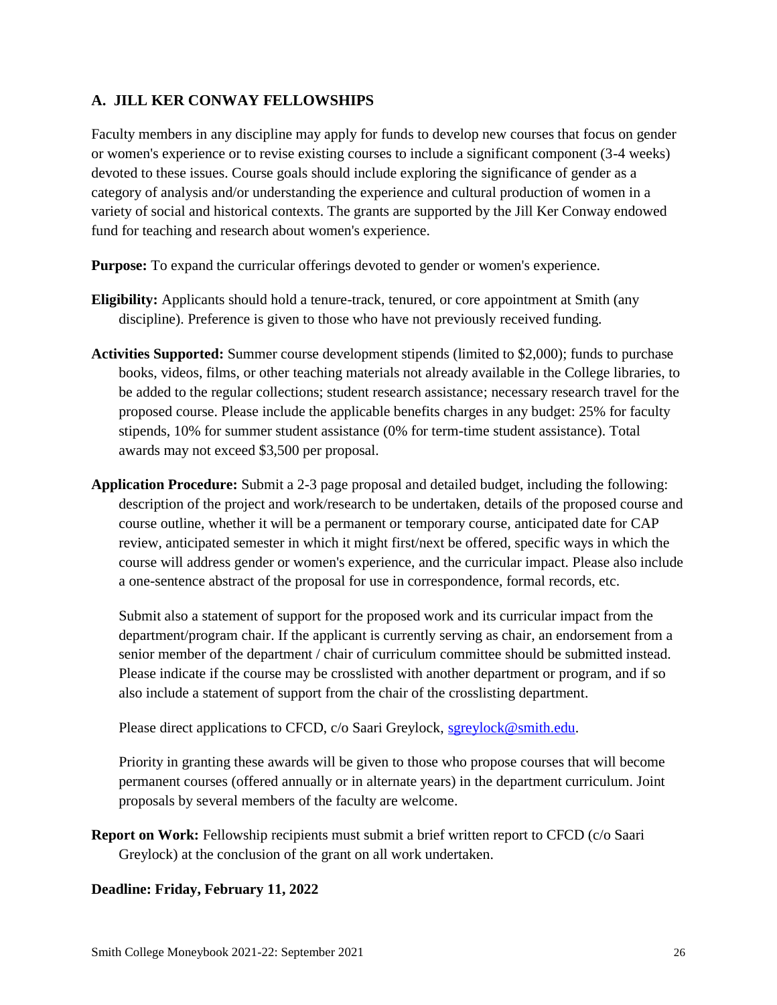#### <span id="page-25-0"></span>**A. JILL KER CONWAY FELLOWSHIPS**

Faculty members in any discipline may apply for funds to develop new courses that focus on gender or women's experience or to revise existing courses to include a significant component (3-4 weeks) devoted to these issues. Course goals should include exploring the significance of gender as a category of analysis and/or understanding the experience and cultural production of women in a variety of social and historical contexts. The grants are supported by the Jill Ker Conway endowed fund for teaching and research about women's experience.

**Purpose:** To expand the curricular offerings devoted to gender or women's experience.

- **Eligibility:** Applicants should hold a tenure-track, tenured, or core appointment at Smith (any discipline). Preference is given to those who have not previously received funding.
- **Activities Supported:** Summer course development stipends (limited to \$2,000); funds to purchase books, videos, films, or other teaching materials not already available in the College libraries, to be added to the regular collections; student research assistance; necessary research travel for the proposed course. Please include the applicable benefits charges in any budget: 25% for faculty stipends, 10% for summer student assistance (0% for term-time student assistance). Total awards may not exceed \$3,500 per proposal.
- **Application Procedure:** Submit a 2-3 page proposal and detailed budget, including the following: description of the project and work/research to be undertaken, details of the proposed course and course outline, whether it will be a permanent or temporary course, anticipated date for CAP review, anticipated semester in which it might first/next be offered, specific ways in which the course will address gender or women's experience, and the curricular impact. Please also include a one-sentence abstract of the proposal for use in correspondence, formal records, etc.

Submit also a statement of support for the proposed work and its curricular impact from the department/program chair. If the applicant is currently serving as chair, an endorsement from a senior member of the department / chair of curriculum committee should be submitted instead. Please indicate if the course may be crosslisted with another department or program, and if so also include a statement of support from the chair of the crosslisting department.

Please direct applications to CFCD, c/o Saari Greylock, [sgreylock@smith.edu.](mailto:sgreylock@smith.edu)

Priority in granting these awards will be given to those who propose courses that will become permanent courses (offered annually or in alternate years) in the department curriculum. Joint proposals by several members of the faculty are welcome.

**Report on Work:** Fellowship recipients must submit a brief written report to CFCD (c/o Saari) Greylock) at the conclusion of the grant on all work undertaken.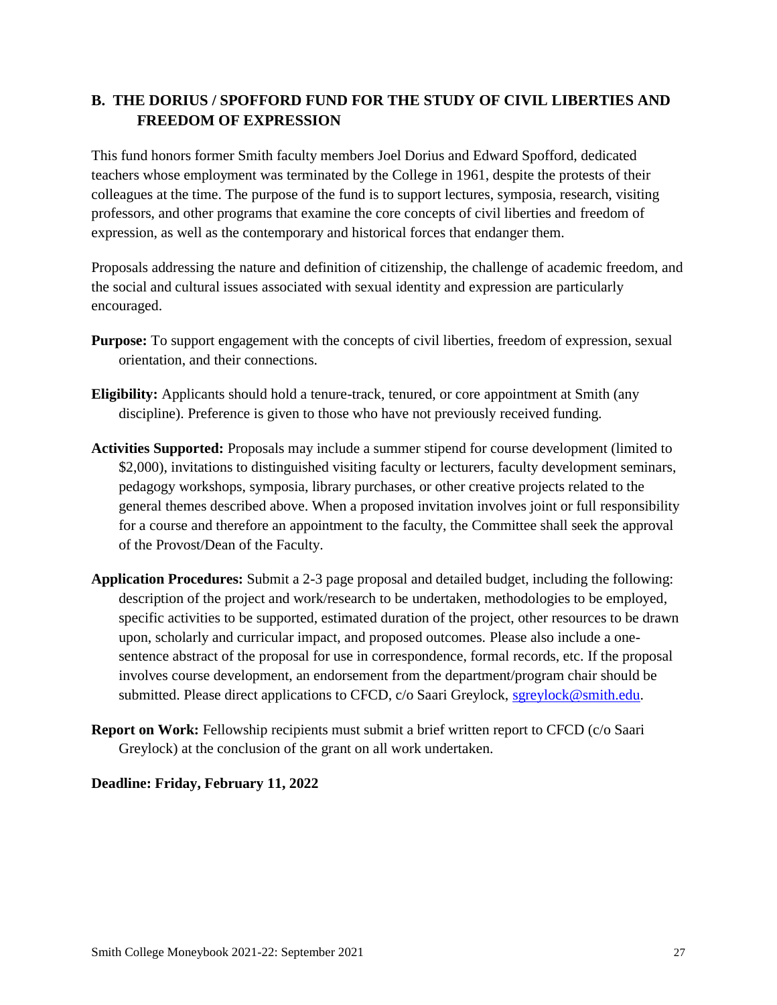## <span id="page-26-0"></span>**B. THE DORIUS / SPOFFORD FUND FOR THE STUDY OF CIVIL LIBERTIES AND FREEDOM OF EXPRESSION**

This fund honors former Smith faculty members Joel Dorius and Edward Spofford, dedicated teachers whose employment was terminated by the College in 1961, despite the protests of their colleagues at the time. The purpose of the fund is to support lectures, symposia, research, visiting professors, and other programs that examine the core concepts of civil liberties and freedom of expression, as well as the contemporary and historical forces that endanger them.

Proposals addressing the nature and definition of citizenship, the challenge of academic freedom, and the social and cultural issues associated with sexual identity and expression are particularly encouraged.

- **Purpose:** To support engagement with the concepts of civil liberties, freedom of expression, sexual orientation, and their connections.
- **Eligibility:** Applicants should hold a tenure-track, tenured, or core appointment at Smith (any discipline). Preference is given to those who have not previously received funding.
- **Activities Supported:** Proposals may include a summer stipend for course development (limited to \$2,000), invitations to distinguished visiting faculty or lecturers, faculty development seminars, pedagogy workshops, symposia, library purchases, or other creative projects related to the general themes described above. When a proposed invitation involves joint or full responsibility for a course and therefore an appointment to the faculty, the Committee shall seek the approval of the Provost/Dean of the Faculty.
- **Application Procedures:** Submit a 2-3 page proposal and detailed budget, including the following: description of the project and work/research to be undertaken, methodologies to be employed, specific activities to be supported, estimated duration of the project, other resources to be drawn upon, scholarly and curricular impact, and proposed outcomes. Please also include a onesentence abstract of the proposal for use in correspondence, formal records, etc. If the proposal involves course development, an endorsement from the department/program chair should be submitted. Please direct applications to CFCD, c/o Saari Greylock, [sgreylock@smith.edu.](mailto:sgreylock@smith.edu)
- **Report on Work:** Fellowship recipients must submit a brief written report to CFCD (c/o Saari) Greylock) at the conclusion of the grant on all work undertaken.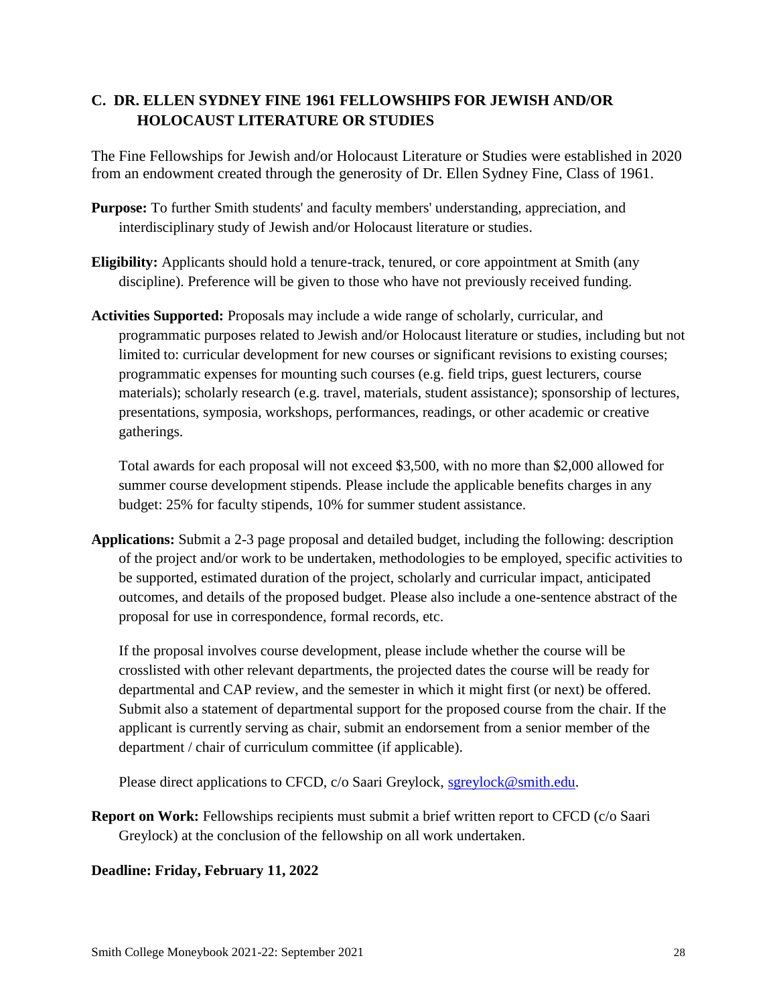### <span id="page-27-0"></span>**C. DR. ELLEN SYDNEY FINE 1961 FELLOWSHIPS FOR JEWISH AND/OR HOLOCAUST LITERATURE OR STUDIES**

The Fine Fellowships for Jewish and/or Holocaust Literature or Studies were established in 2020 from an endowment created through the generosity of Dr. Ellen Sydney Fine, Class of 1961.

- **Purpose:** To further Smith students' and faculty members' understanding, appreciation, and interdisciplinary study of Jewish and/or Holocaust literature or studies.
- **Eligibility:** Applicants should hold a tenure-track, tenured, or core appointment at Smith (any discipline). Preference will be given to those who have not previously received funding.
- **Activities Supported:** Proposals may include a wide range of scholarly, curricular, and programmatic purposes related to Jewish and/or Holocaust literature or studies, including but not limited to: curricular development for new courses or significant revisions to existing courses; programmatic expenses for mounting such courses (e.g. field trips, guest lecturers, course materials); scholarly research (e.g. travel, materials, student assistance); sponsorship of lectures, presentations, symposia, workshops, performances, readings, or other academic or creative gatherings.

Total awards for each proposal will not exceed \$3,500, with no more than \$2,000 allowed for summer course development stipends. Please include the applicable benefits charges in any budget: 25% for faculty stipends, 10% for summer student assistance.

**Applications:** Submit a 2-3 page proposal and detailed budget, including the following: description of the project and/or work to be undertaken, methodologies to be employed, specific activities to be supported, estimated duration of the project, scholarly and curricular impact, anticipated outcomes, and details of the proposed budget. Please also include a one-sentence abstract of the proposal for use in correspondence, formal records, etc.

If the proposal involves course development, please include whether the course will be crosslisted with other relevant departments, the projected dates the course will be ready for departmental and CAP review, and the semester in which it might first (or next) be offered. Submit also a statement of departmental support for the proposed course from the chair. If the applicant is currently serving as chair, submit an endorsement from a senior member of the department / chair of curriculum committee (if applicable).

Please direct applications to CFCD, c/o Saari Greylock, [sgreylock@smith.edu.](mailto:sgreylock@smith.edu)

**Report on Work:** Fellowships recipients must submit a brief written report to CFCD (c/o Saari Greylock) at the conclusion of the fellowship on all work undertaken.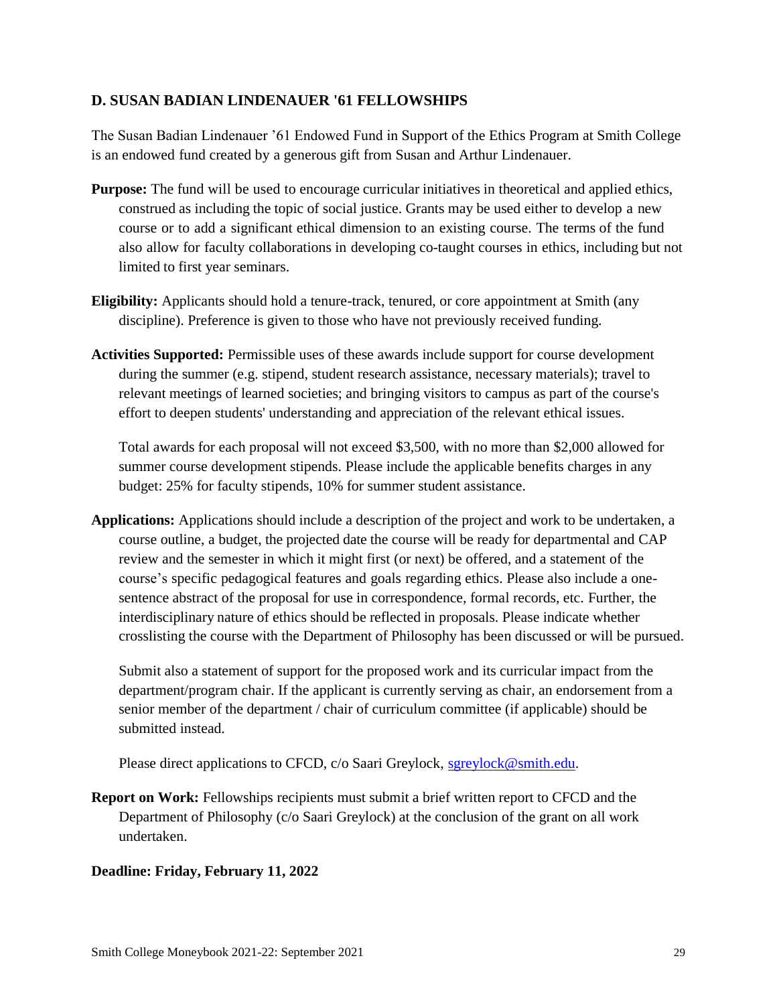#### <span id="page-28-0"></span>**D. SUSAN BADIAN LINDENAUER '61 FELLOWSHIPS**

The Susan Badian Lindenauer '61 Endowed Fund in Support of the Ethics Program at Smith College is an endowed fund created by a generous gift from Susan and Arthur Lindenauer.

- **Purpose:** The fund will be used to encourage curricular initiatives in theoretical and applied ethics, construed as including the topic of social justice. Grants may be used either to develop a new course or to add a significant ethical dimension to an existing course. The terms of the fund also allow for faculty collaborations in developing co-taught courses in ethics, including but not limited to first year seminars.
- **Eligibility:** Applicants should hold a tenure-track, tenured, or core appointment at Smith (any discipline). Preference is given to those who have not previously received funding.
- **Activities Supported:** Permissible uses of these awards include support for course development during the summer (e.g. stipend, student research assistance, necessary materials); travel to relevant meetings of learned societies; and bringing visitors to campus as part of the course's effort to deepen students' understanding and appreciation of the relevant ethical issues.

Total awards for each proposal will not exceed \$3,500, with no more than \$2,000 allowed for summer course development stipends. Please include the applicable benefits charges in any budget: 25% for faculty stipends, 10% for summer student assistance.

**Applications:** Applications should include a description of the project and work to be undertaken, a course outline, a budget, the projected date the course will be ready for departmental and CAP review and the semester in which it might first (or next) be offered, and a statement of the course's specific pedagogical features and goals regarding ethics. Please also include a onesentence abstract of the proposal for use in correspondence, formal records, etc. Further, the interdisciplinary nature of ethics should be reflected in proposals. Please indicate whether crosslisting the course with the Department of Philosophy has been discussed or will be pursued.

Submit also a statement of support for the proposed work and its curricular impact from the department/program chair. If the applicant is currently serving as chair, an endorsement from a senior member of the department / chair of curriculum committee (if applicable) should be submitted instead.

Please direct applications to CFCD, c/o Saari Greylock, [sgreylock@smith.edu.](mailto:sgreylock@smith.edu)

**Report on Work:** Fellowships recipients must submit a brief written report to CFCD and the Department of Philosophy (c/o Saari Greylock) at the conclusion of the grant on all work undertaken.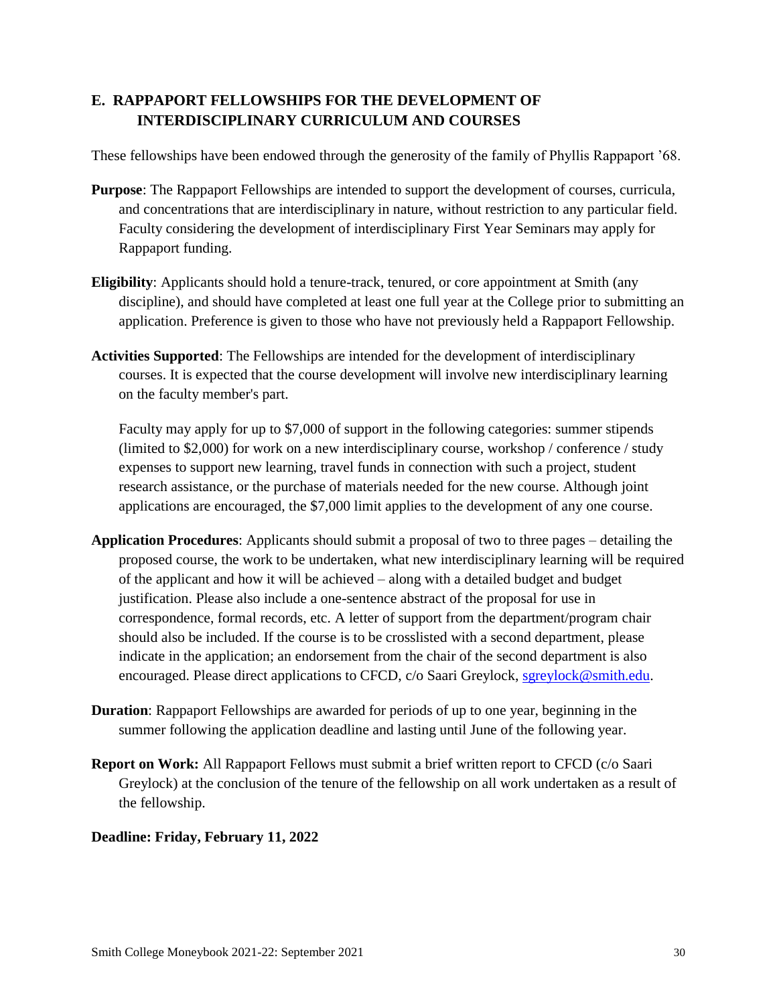## <span id="page-29-0"></span>**E. RAPPAPORT FELLOWSHIPS FOR THE DEVELOPMENT OF INTERDISCIPLINARY CURRICULUM AND COURSES**

These fellowships have been endowed through the generosity of the family of Phyllis Rappaport '68.

- **Purpose**: The Rappaport Fellowships are intended to support the development of courses, curricula, and concentrations that are interdisciplinary in nature, without restriction to any particular field. Faculty considering the development of interdisciplinary First Year Seminars may apply for Rappaport funding.
- **Eligibility**: Applicants should hold a tenure-track, tenured, or core appointment at Smith (any discipline), and should have completed at least one full year at the College prior to submitting an application. Preference is given to those who have not previously held a Rappaport Fellowship.
- **Activities Supported**: The Fellowships are intended for the development of interdisciplinary courses. It is expected that the course development will involve new interdisciplinary learning on the faculty member's part.

Faculty may apply for up to \$7,000 of support in the following categories: summer stipends (limited to \$2,000) for work on a new interdisciplinary course, workshop / conference / study expenses to support new learning, travel funds in connection with such a project, student research assistance, or the purchase of materials needed for the new course. Although joint applications are encouraged, the \$7,000 limit applies to the development of any one course.

- **Application Procedures**: Applicants should submit a proposal of two to three pages detailing the proposed course, the work to be undertaken, what new interdisciplinary learning will be required of the applicant and how it will be achieved – along with a detailed budget and budget justification. Please also include a one-sentence abstract of the proposal for use in correspondence, formal records, etc. A letter of support from the department/program chair should also be included. If the course is to be crosslisted with a second department, please indicate in the application; an endorsement from the chair of the second department is also encouraged. Please direct applications to CFCD, c/o Saari Greylock, [sgreylock@smith.edu.](mailto:sgreylock@smith.edu)
- **Duration**: Rappaport Fellowships are awarded for periods of up to one year, beginning in the summer following the application deadline and lasting until June of the following year.
- **Report on Work:** All Rappaport Fellows must submit a brief written report to CFCD (c/o Saari Greylock) at the conclusion of the tenure of the fellowship on all work undertaken as a result of the fellowship.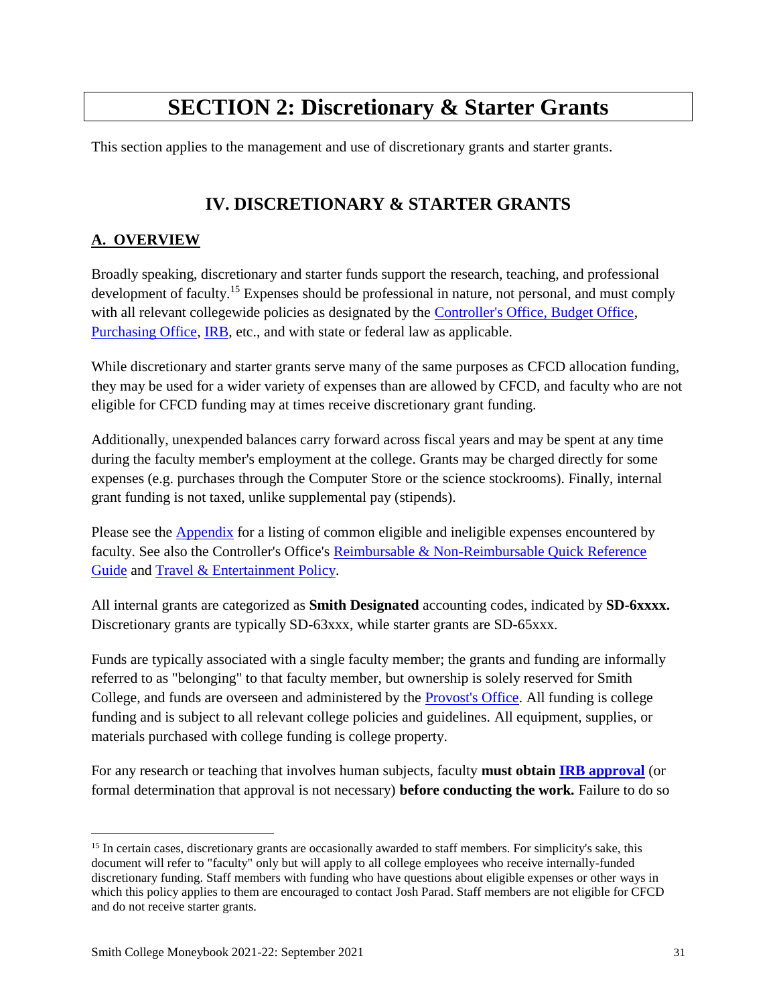# **SECTION 2: Discretionary & Starter Grants**

This section applies to the management and use of discretionary grants and starter grants.

# **IV. DISCRETIONARY & STARTER GRANTS**

### <span id="page-30-1"></span><span id="page-30-0"></span>**A. OVERVIEW**

Broadly speaking, discretionary and starter funds support the research, teaching, and professional development of faculty.<sup>15</sup> Expenses should be professional in nature, not personal, and must comply with all relevant collegewide policies as designated by the [Controller's Office, Budget Office,](https://www.smith.edu/about-smith/controller) [Purchasing Office,](https://www.smith.edu/purchasing/policies.php) [IRB,](https://www.smith.edu/academics/institutional-review-board) etc., and with state or federal law as applicable.

While discretionary and starter grants serve many of the same purposes as CFCD allocation funding, they may be used for a wider variety of expenses than are allowed by CFCD, and faculty who are not eligible for CFCD funding may at times receive discretionary grant funding.

Additionally, unexpended balances carry forward across fiscal years and may be spent at any time during the faculty member's employment at the college. Grants may be charged directly for some expenses (e.g. purchases through the Computer Store or the science stockrooms). Finally, internal grant funding is not taxed, unlike supplemental pay (stipends).

Please see the [Appendix](#page-43-0) for a listing of common eligible and ineligible expenses encountered by faculty. See also the Controller's Office's [Reimbursable & Non-Reimbursable Quick Reference](https://www.smith.edu/sites/default/files/media/Documents/Controller/Reimbursable_Quick_Reference.pdf)  [Guide](https://www.smith.edu/sites/default/files/media/Documents/Controller/Reimbursable_Quick_Reference.pdf) and [Travel & Entertainment Policy.](https://www.smith.edu/about-smith/controller/travel-and-entertainment-policy)

All internal grants are categorized as **Smith Designated** accounting codes, indicated by **SD-6xxxx.** Discretionary grants are typically SD-63xxx, while starter grants are SD-65xxx.

Funds are typically associated with a single faculty member; the grants and funding are informally referred to as "belonging" to that faculty member, but ownership is solely reserved for Smith College, and funds are overseen and administered by the [Provost's Office.](https://www.smith.edu/about-smith/provost) All funding is college funding and is subject to all relevant college policies and guidelines. All equipment, supplies, or materials purchased with college funding is college property.

For any research or teaching that involves human subjects, faculty **must obtain [IRB approval](https://www.smith.edu/academics/institutional-review-board)** (or formal determination that approval is not necessary) **before conducting the work.** Failure to do so

 $\overline{a}$ 

<sup>&</sup>lt;sup>15</sup> In certain cases, discretionary grants are occasionally awarded to staff members. For simplicity's sake, this document will refer to "faculty" only but will apply to all college employees who receive internally-funded discretionary funding. Staff members with funding who have questions about eligible expenses or other ways in which this policy applies to them are encouraged to contact Josh Parad. Staff members are not eligible for CFCD and do not receive starter grants.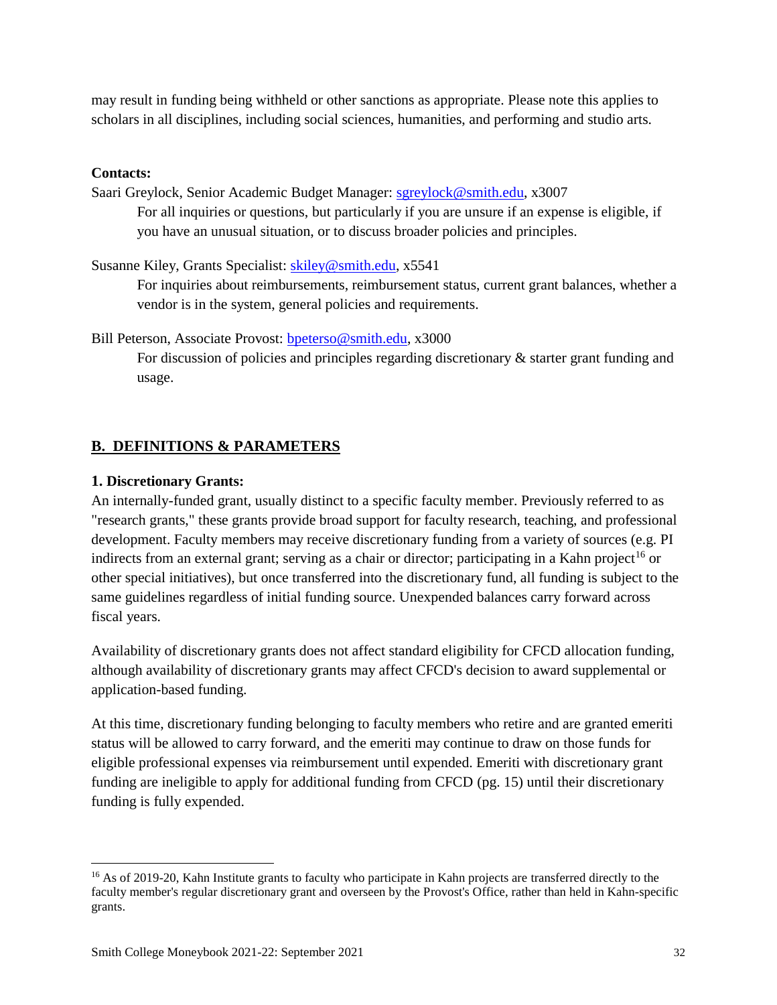may result in funding being withheld or other sanctions as appropriate. Please note this applies to scholars in all disciplines, including social sciences, humanities, and performing and studio arts.

#### **Contacts:**

Saari Greylock, Senior Academic Budget Manager: [sgreylock@smith.edu,](mailto:sgreylock@smith.edu) x3007 For all inquiries or questions, but particularly if you are unsure if an expense is eligible, if you have an unusual situation, or to discuss broader policies and principles.

Susanne Kiley, Grants Specialist: [skiley@smith.edu,](mailto:skiley@smith.edu) x5541

For inquiries about reimbursements, reimbursement status, current grant balances, whether a vendor is in the system, general policies and requirements.

Bill Peterson, Associate Provost: [bpeterso@smith.edu,](mailto:bpeterso@smith.edu) x3000

For discussion of policies and principles regarding discretionary & starter grant funding and usage.

#### <span id="page-31-0"></span>**B. DEFINITIONS & PARAMETERS**

#### <span id="page-31-1"></span>**1. Discretionary Grants:**

 $\overline{a}$ 

An internally-funded grant, usually distinct to a specific faculty member. Previously referred to as "research grants," these grants provide broad support for faculty research, teaching, and professional development. Faculty members may receive discretionary funding from a variety of sources (e.g. PI indirects from an external grant; serving as a chair or director; participating in a Kahn project<sup>16</sup> or other special initiatives), but once transferred into the discretionary fund, all funding is subject to the same guidelines regardless of initial funding source. Unexpended balances carry forward across fiscal years.

Availability of discretionary grants does not affect standard eligibility for CFCD allocation funding, although availability of discretionary grants may affect CFCD's decision to award supplemental or application-based funding.

At this time, discretionary funding belonging to faculty members who retire and are granted emeriti status will be allowed to carry forward, and the emeriti may continue to draw on those funds for eligible professional expenses via reimbursement until expended. Emeriti with discretionary grant funding are ineligible to apply for additional funding from CFCD (pg. 15) until their discretionary funding is fully expended.

<sup>&</sup>lt;sup>16</sup> As of 2019-20, Kahn Institute grants to faculty who participate in Kahn projects are transferred directly to the faculty member's regular discretionary grant and overseen by the Provost's Office, rather than held in Kahn-specific grants.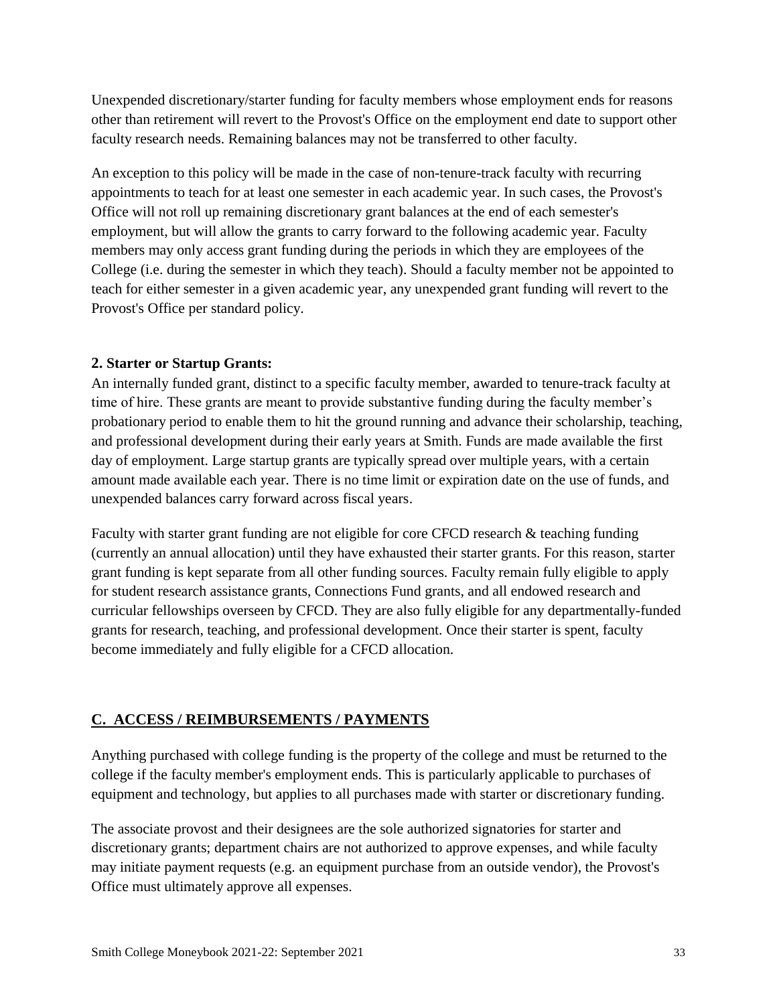Unexpended discretionary/starter funding for faculty members whose employment ends for reasons other than retirement will revert to the Provost's Office on the employment end date to support other faculty research needs. Remaining balances may not be transferred to other faculty.

An exception to this policy will be made in the case of non-tenure-track faculty with recurring appointments to teach for at least one semester in each academic year. In such cases, the Provost's Office will not roll up remaining discretionary grant balances at the end of each semester's employment, but will allow the grants to carry forward to the following academic year. Faculty members may only access grant funding during the periods in which they are employees of the College (i.e. during the semester in which they teach). Should a faculty member not be appointed to teach for either semester in a given academic year, any unexpended grant funding will revert to the Provost's Office per standard policy.

#### <span id="page-32-0"></span>**2. Starter or Startup Grants:**

An internally funded grant, distinct to a specific faculty member, awarded to tenure-track faculty at time of hire. These grants are meant to provide substantive funding during the faculty member's probationary period to enable them to hit the ground running and advance their scholarship, teaching, and professional development during their early years at Smith. Funds are made available the first day of employment. Large startup grants are typically spread over multiple years, with a certain amount made available each year. There is no time limit or expiration date on the use of funds, and unexpended balances carry forward across fiscal years.

Faculty with starter grant funding are not eligible for core CFCD research & teaching funding (currently an annual allocation) until they have exhausted their starter grants. For this reason, starter grant funding is kept separate from all other funding sources. Faculty remain fully eligible to apply for student research assistance grants, Connections Fund grants, and all endowed research and curricular fellowships overseen by CFCD. They are also fully eligible for any departmentally-funded grants for research, teaching, and professional development. Once their starter is spent, faculty become immediately and fully eligible for a CFCD allocation.

#### <span id="page-32-1"></span>**C. ACCESS / REIMBURSEMENTS / PAYMENTS**

Anything purchased with college funding is the property of the college and must be returned to the college if the faculty member's employment ends. This is particularly applicable to purchases of equipment and technology, but applies to all purchases made with starter or discretionary funding.

The associate provost and their designees are the sole authorized signatories for starter and discretionary grants; department chairs are not authorized to approve expenses, and while faculty may initiate payment requests (e.g. an equipment purchase from an outside vendor), the Provost's Office must ultimately approve all expenses.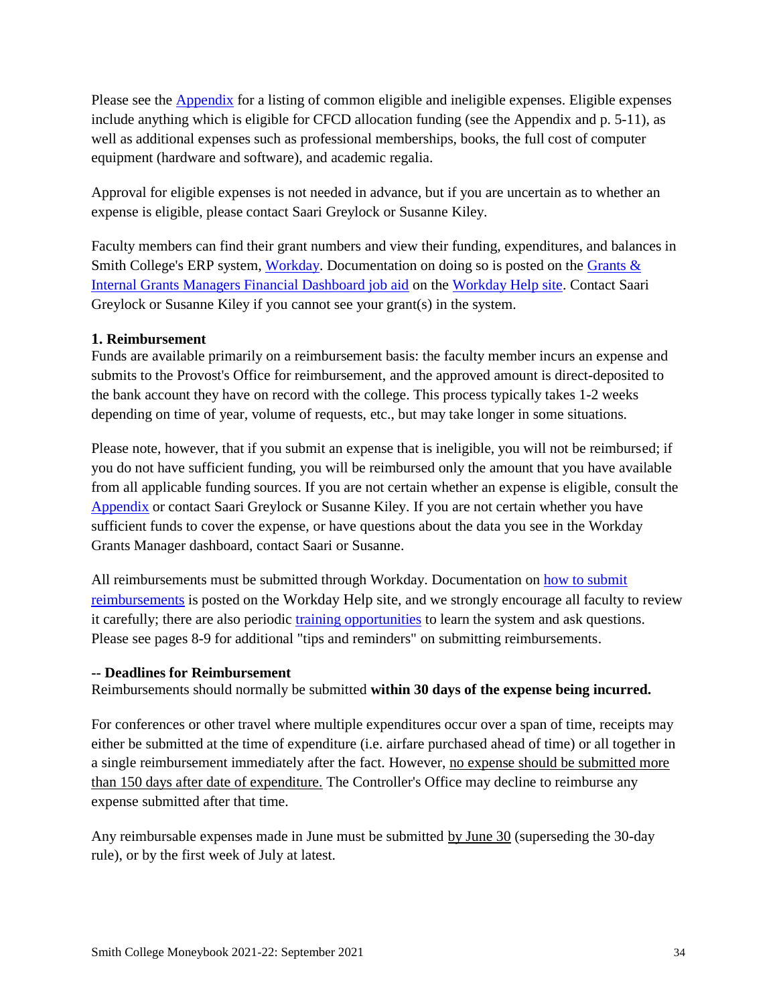Please see the [Appendix](#page-43-0) for a listing of common eligible and ineligible expenses. Eligible expenses include anything which is eligible for CFCD allocation funding (see the Appendix and p. 5-11), as well as additional expenses such as professional memberships, books, the full cost of computer equipment (hardware and software), and academic regalia.

Approval for eligible expenses is not needed in advance, but if you are uncertain as to whether an expense is eligible, please contact Saari Greylock or Susanne Kiley.

Faculty members can find their grant numbers and view their funding, expenditures, and balances in Smith College's ERP system, [Workday.](https://wd5.myworkday.com/smithcollege/d/home.htmld) Documentation on doing so is posted on the Grants  $\&$ [Internal Grants Managers Financial Dashboard job aid](https://sites.google.com/smith.edu/workdayhelp/hr-payroll-finances/financial-how-tos-and-faqs?authuser=0#h.p_OtHxSchzkwjw) on the [Workday Help site.](https://sites.google.com/smith.edu/workdayhelp/home?authuser=0) Contact Saari Greylock or Susanne Kiley if you cannot see your grant(s) in the system.

#### **1. Reimbursement**

Funds are available primarily on a reimbursement basis: the faculty member incurs an expense and submits to the Provost's Office for reimbursement, and the approved amount is direct-deposited to the bank account they have on record with the college. This process typically takes 1-2 weeks depending on time of year, volume of requests, etc., but may take longer in some situations.

Please note, however, that if you submit an expense that is ineligible, you will not be reimbursed; if you do not have sufficient funding, you will be reimbursed only the amount that you have available from all applicable funding sources. If you are not certain whether an expense is eligible, consult the [Appendix](#page-43-0) or contact Saari Greylock or Susanne Kiley. If you are not certain whether you have sufficient funds to cover the expense, or have questions about the data you see in the Workday Grants Manager dashboard, contact Saari or Susanne.

All reimbursements must be submitted through Workday. Documentation on [how to submit](https://sites.google.com/smith.edu/workdayhelp/hr-payroll-finances/financial-how-tos-and-faqs?authuser=0#h.jlwbtrv37my)  [reimbursements](https://sites.google.com/smith.edu/workdayhelp/hr-payroll-finances/financial-how-tos-and-faqs?authuser=0#h.jlwbtrv37my) is posted on the [Workday Help site](https://sites.google.com/smith.edu/workdayhelp/), and we strongly encourage all faculty to review it carefully; there are also periodic [training opportunities](https://sites.google.com/smith.edu/workdayhelp/training?authuser=0) to learn the system and ask questions. Please see pages 8-9 for additional "tips and reminders" on submitting reimbursements.

#### **-- Deadlines for Reimbursement**

Reimbursements should normally be submitted **within 30 days of the expense being incurred.**

For conferences or other travel where multiple expenditures occur over a span of time, receipts may either be submitted at the time of expenditure (i.e. airfare purchased ahead of time) or all together in a single reimbursement immediately after the fact. However, no expense should be submitted more than 150 days after date of expenditure. The Controller's Office may decline to reimburse any expense submitted after that time.

Any reimbursable expenses made in June must be submitted by June 30 (superseding the 30-day rule), or by the first week of July at latest.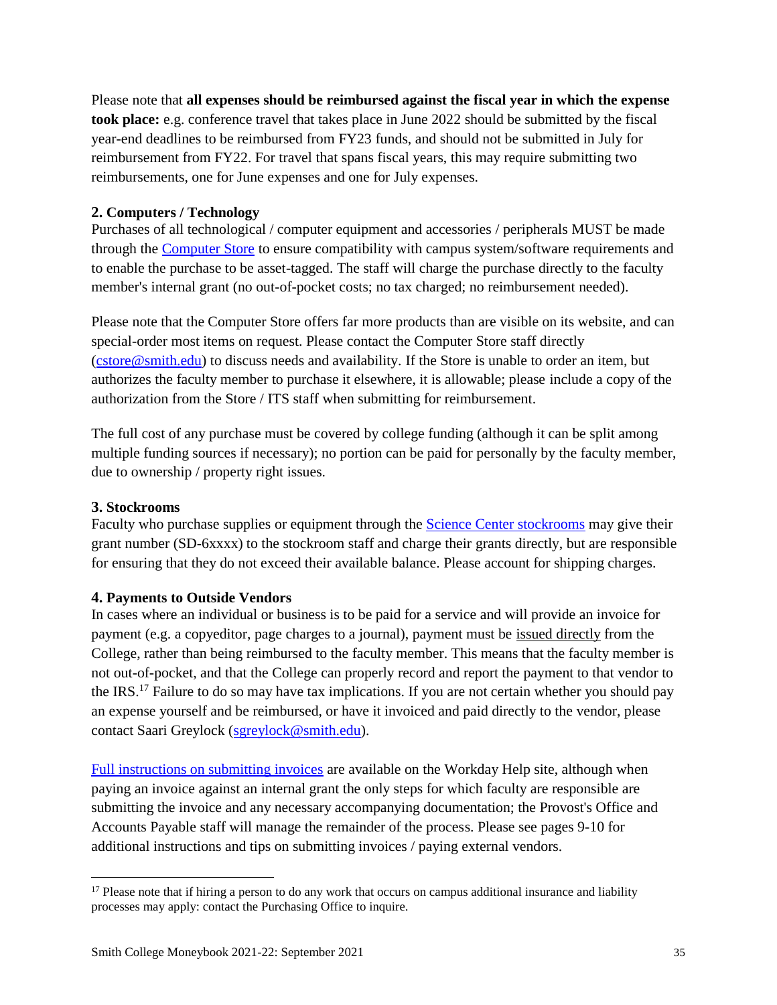Please note that **all expenses should be reimbursed against the fiscal year in which the expense took place:** e.g. conference travel that takes place in June 2022 should be submitted by the fiscal year-end deadlines to be reimbursed from FY23 funds, and should not be submitted in July for reimbursement from FY22. For travel that spans fiscal years, this may require submitting two reimbursements, one for June expenses and one for July expenses.

#### **2. Computers / Technology**

Purchases of all technological / computer equipment and accessories / peripherals MUST be made through the [Computer Store](https://www.smith.edu/its/computerstore/) to ensure compatibility with campus system/software requirements and to enable the purchase to be asset-tagged. The staff will charge the purchase directly to the faculty member's internal grant (no out-of-pocket costs; no tax charged; no reimbursement needed).

Please note that the Computer Store offers far more products than are visible on its website, and can special-order most items on request. Please contact the Computer Store staff directly [\(cstore@smith.edu\)](mailto:cstore@smith.edu) to discuss needs and availability. If the Store is unable to order an item, but authorizes the faculty member to purchase it elsewhere, it is allowable; please include a copy of the authorization from the Store / ITS staff when submitting for reimbursement.

The full cost of any purchase must be covered by college funding (although it can be split among multiple funding sources if necessary); no portion can be paid for personally by the faculty member, due to ownership / property right issues.

#### **3. Stockrooms**

<span id="page-34-0"></span> $\overline{a}$ 

Faculty who purchase supplies or equipment through the [Science Center stockrooms](http://www.science.smith.edu/stockroom/) may give their grant number (SD-6xxxx) to the stockroom staff and charge their grants directly, but are responsible for ensuring that they do not exceed their available balance. Please account for shipping charges.

#### **4. Payments to Outside Vendors**

In cases where an individual or business is to be paid for a service and will provide an invoice for payment (e.g. a copyeditor, page charges to a journal), payment must be issued directly from the College, rather than being reimbursed to the faculty member. This means that the faculty member is not out-of-pocket, and that the College can properly record and report the payment to that vendor to the IRS.<sup>17</sup> Failure to do so may have tax implications. If you are not certain whether you should pay an expense yourself and be reimbursed, or have it invoiced and paid directly to the vendor, please contact Saari Greylock [\(sgreylock@smith.edu\)](mailto:sgreylock@smith.edu).

[Full instructions on submitting invoices](https://sites.google.com/smith.edu/workdayhelp/hr-payroll-finances/financial-how-tos-and-faqs/purchasing-and-processing-payments/invoices?authuser=0) are available on the Workday Help site, although when paying an invoice against an internal grant the only steps for which faculty are responsible are submitting the invoice and any necessary accompanying documentation; the Provost's Office and Accounts Payable staff will manage the remainder of the process. Please see pages 9-10 for additional instructions and tips on submitting invoices / paying external vendors.

<sup>&</sup>lt;sup>17</sup> Please note that if hiring a person to do any work that occurs on campus additional insurance and liability processes may apply: contact the Purchasing Office to inquire.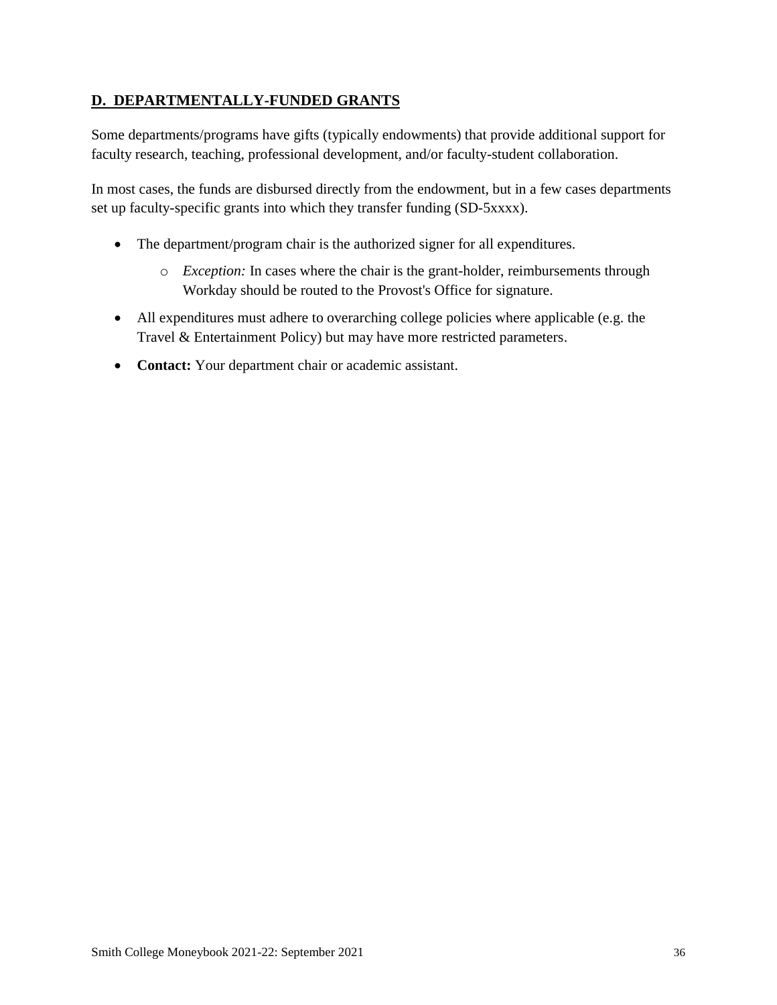### **D. DEPARTMENTALLY-FUNDED GRANTS**

Some departments/programs have gifts (typically endowments) that provide additional support for faculty research, teaching, professional development, and/or faculty-student collaboration.

In most cases, the funds are disbursed directly from the endowment, but in a few cases departments set up faculty-specific grants into which they transfer funding (SD-5xxxx).

- The department/program chair is the authorized signer for all expenditures.
	- o *Exception:* In cases where the chair is the grant-holder, reimbursements through Workday should be routed to the Provost's Office for signature.
- All expenditures must adhere to overarching college policies where applicable (e.g. the Travel & Entertainment Policy) but may have more restricted parameters.
- **Contact:** Your department chair or academic assistant.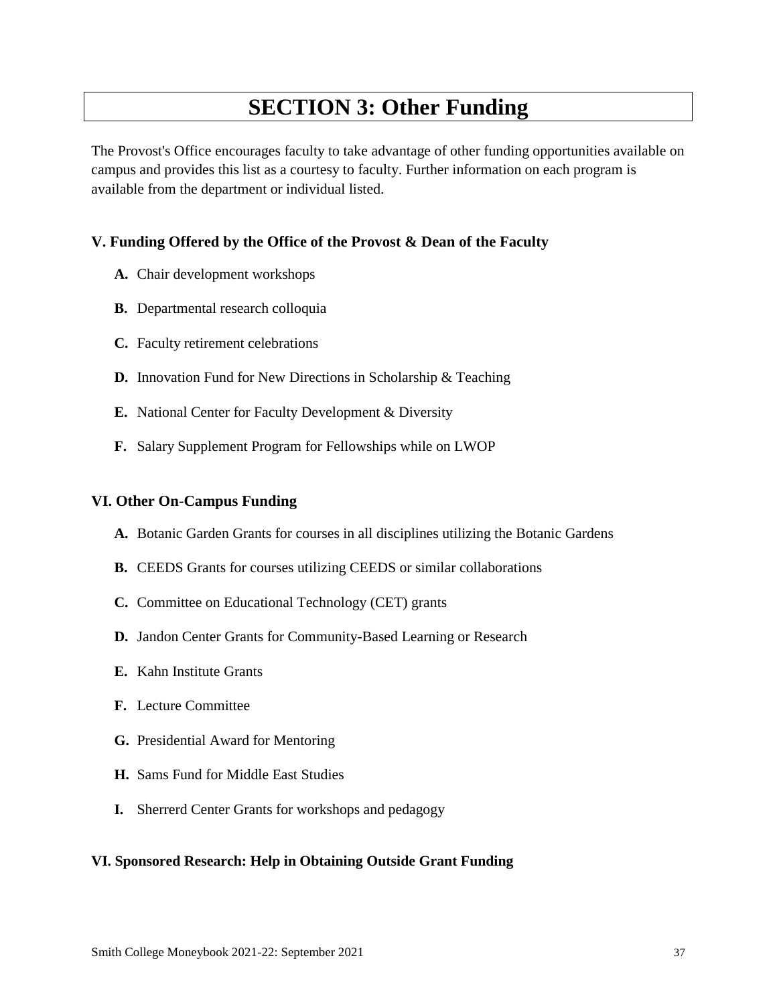# **SECTION 3: Other Funding**

<span id="page-36-0"></span>The Provost's Office encourages faculty to take advantage of other funding opportunities available on campus and provides this list as a courtesy to faculty. Further information on each program is available from the department or individual listed.

#### **V. Funding Offered by the Office of the Provost & Dean of the Faculty**

- **A.** Chair development workshops
- **B.** Departmental research colloquia
- **C.** Faculty retirement celebrations
- **D.** Innovation Fund for New Directions in Scholarship & Teaching
- **E.** National Center for Faculty Development & Diversity
- **F.** Salary Supplement Program for Fellowships while on LWOP

#### **VI. Other On-Campus Funding**

- **A.** Botanic Garden Grants for courses in all disciplines utilizing the Botanic Gardens
- **B.** CEEDS Grants for courses utilizing CEEDS or similar collaborations
- **C.** Committee on Educational Technology (CET) grants
- **D.** Jandon Center Grants for Community-Based Learning or Research
- **E.** Kahn Institute Grants
- **F.** Lecture Committee
- **G.** Presidential Award for Mentoring
- **H.** Sams Fund for Middle East Studies
- **I.** Sherrerd Center Grants for workshops and pedagogy

#### **VI. Sponsored Research: Help in Obtaining Outside Grant Funding**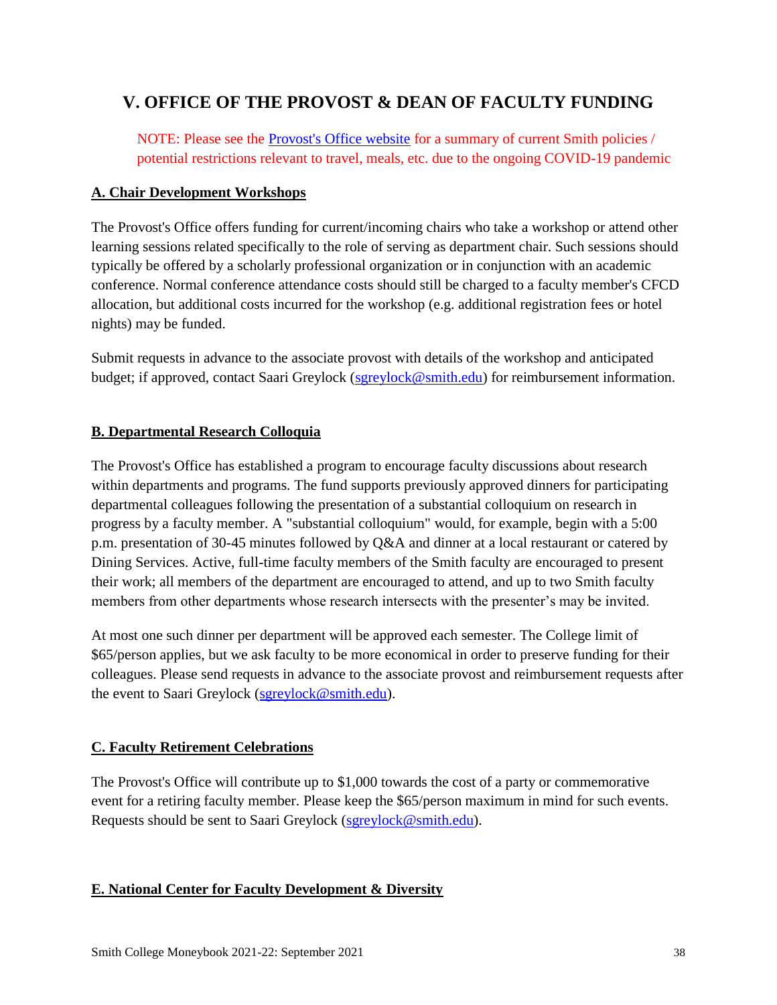# <span id="page-37-0"></span>**V. OFFICE OF THE PROVOST & DEAN OF FACULTY FUNDING**

NOTE: Please see the **Provost's Office website** for a summary of current Smith policies / potential restrictions relevant to travel, meals, etc. due to the ongoing COVID-19 pandemic

#### **A. Chair Development Workshops**

The Provost's Office offers funding for current/incoming chairs who take a workshop or attend other learning sessions related specifically to the role of serving as department chair. Such sessions should typically be offered by a scholarly professional organization or in conjunction with an academic conference. Normal conference attendance costs should still be charged to a faculty member's CFCD allocation, but additional costs incurred for the workshop (e.g. additional registration fees or hotel nights) may be funded.

Submit requests in advance to the associate provost with details of the workshop and anticipated budget; if approved, contact Saari Greylock [\(sgreylock@smith.edu\)](mailto:sgreylock@smith.edu) for reimbursement information.

#### **B. Departmental Research Colloquia**

The Provost's Office has established a program to encourage faculty discussions about research within departments and programs. The fund supports previously approved dinners for participating departmental colleagues following the presentation of a substantial colloquium on research in progress by a faculty member. A "substantial colloquium" would, for example, begin with a 5:00 p.m. presentation of 30-45 minutes followed by Q&A and dinner at a local restaurant or catered by Dining Services. Active, full-time faculty members of the Smith faculty are encouraged to present their work; all members of the department are encouraged to attend, and up to two Smith faculty members from other departments whose research intersects with the presenter's may be invited.

At most one such dinner per department will be approved each semester. The College limit of \$65/person applies, but we ask faculty to be more economical in order to preserve funding for their colleagues. Please send requests in advance to the associate provost and reimbursement requests after the event to Saari Greylock [\(sgreylock@smith.edu\)](mailto:sgreylock@smith.edu).

#### **C. Faculty Retirement Celebrations**

The Provost's Office will contribute up to \$1,000 towards the cost of a party or commemorative event for a retiring faculty member. Please keep the \$65/person maximum in mind for such events. Requests should be sent to Saari Greylock [\(sgreylock@smith.edu\)](mailto:sgreylock@smith.edu).

#### <span id="page-37-1"></span>**E. National Center for Faculty Development & Diversity**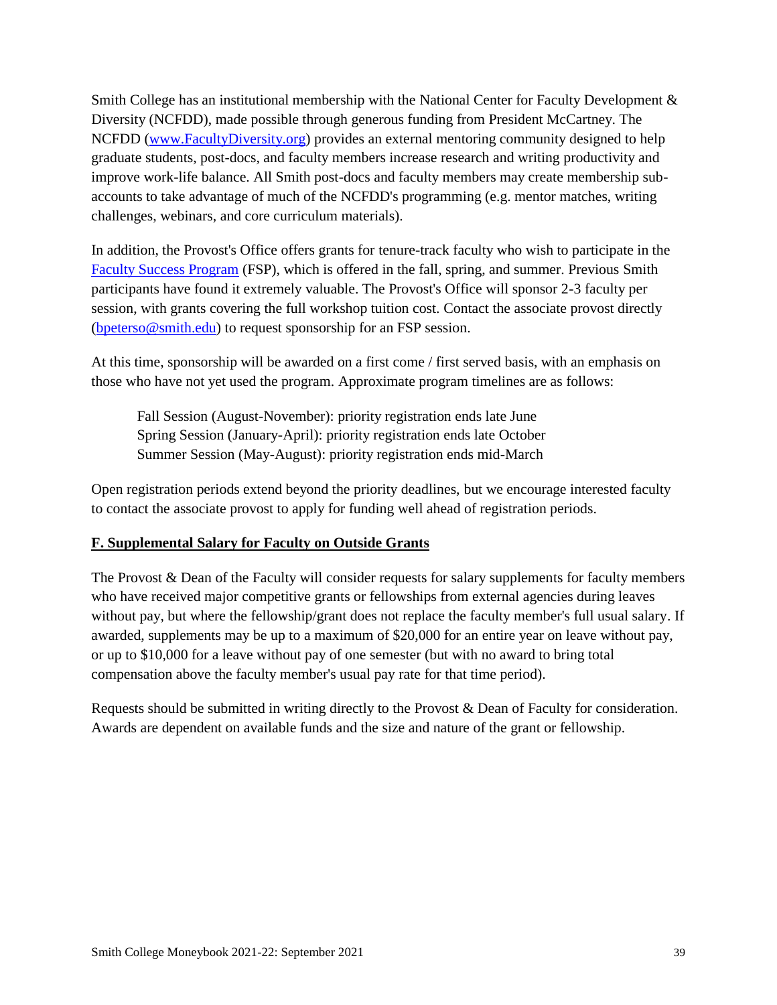Smith College has an institutional membership with the National Center for Faculty Development & Diversity (NCFDD), made possible through generous funding from President McCartney. The NCFDD [\(www.FacultyDiversity.org\)](http://www.facultydiversity.org/) provides an external mentoring community designed to help graduate students, post-docs, and faculty members increase research and writing productivity and improve work-life balance. All Smith post-docs and faculty members may create membership subaccounts to take advantage of much of the NCFDD's programming (e.g. mentor matches, writing challenges, webinars, and core curriculum materials).

In addition, the Provost's Office offers grants for tenure-track faculty who wish to participate in the [Faculty Success Program](https://www.facultydiversity.org/fsp-bootcamp) (FSP), which is offered in the fall, spring, and summer. Previous Smith participants have found it extremely valuable. The Provost's Office will sponsor 2-3 faculty per session, with grants covering the full workshop tuition cost. Contact the associate provost directly [\(bpeterso@smith.edu\)](mailto:bpeterso@smith.edu) to request sponsorship for an FSP session.

At this time, sponsorship will be awarded on a first come / first served basis, with an emphasis on those who have not yet used the program. Approximate program timelines are as follows:

Fall Session (August-November): priority registration ends late June Spring Session (January-April): priority registration ends late October Summer Session (May-August): priority registration ends mid-March

Open registration periods extend beyond the priority deadlines, but we encourage interested faculty to contact the associate provost to apply for funding well ahead of registration periods.

#### **F. Supplemental Salary for Faculty on Outside Grants**

The Provost & Dean of the Faculty will consider requests for salary supplements for faculty members who have received major competitive grants or fellowships from external agencies during leaves without pay, but where the fellowship/grant does not replace the faculty member's full usual salary. If awarded, supplements may be up to a maximum of \$20,000 for an entire year on leave without pay, or up to \$10,000 for a leave without pay of one semester (but with no award to bring total compensation above the faculty member's usual pay rate for that time period).

Requests should be submitted in writing directly to the Provost & Dean of Faculty for consideration. Awards are dependent on available funds and the size and nature of the grant or fellowship.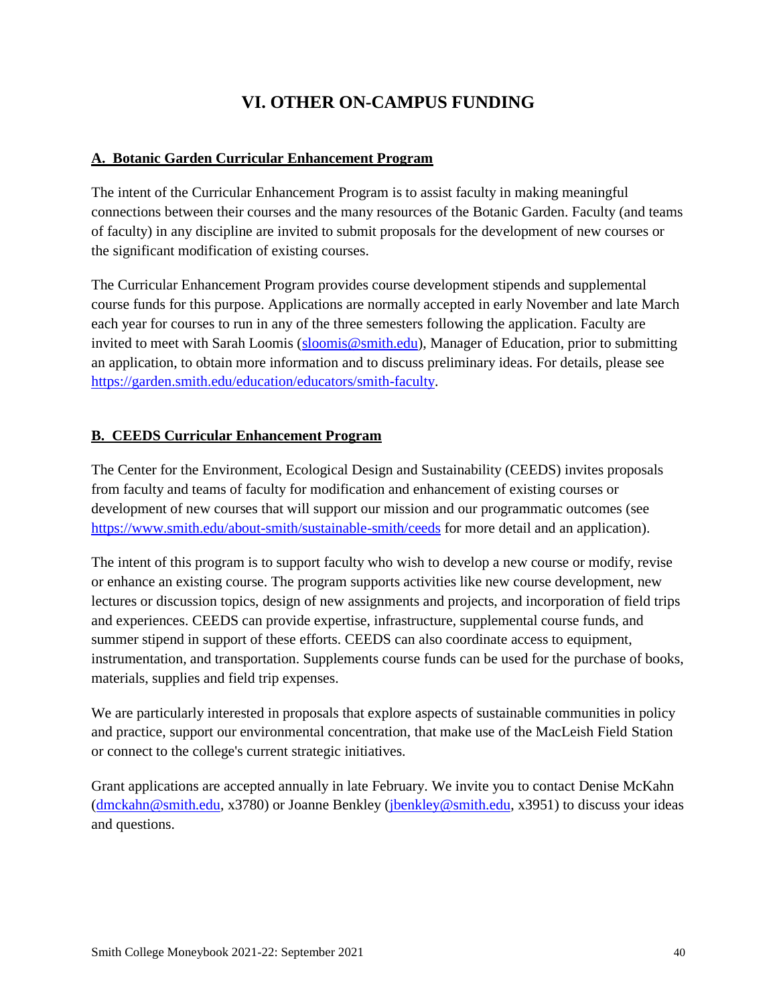# <span id="page-39-0"></span>**VI. OTHER ON-CAMPUS FUNDING**

#### <span id="page-39-1"></span>**A. Botanic Garden Curricular Enhancement Program**

The intent of the Curricular Enhancement Program is to assist faculty in making meaningful connections between their courses and the many resources of the Botanic Garden. Faculty (and teams of faculty) in any discipline are invited to submit proposals for the development of new courses or the significant modification of existing courses.

The Curricular Enhancement Program provides course development stipends and supplemental course funds for this purpose. Applications are normally accepted in early November and late March each year for courses to run in any of the three semesters following the application. Faculty are invited to meet with Sarah Loomis [\(sloomis@smith.edu\)](mailto:sloomis@smith.edu), Manager of Education, prior to submitting an application, to obtain more information and to discuss preliminary ideas. For details, please see [https://garden.smith.edu/education/educators/smith-faculty.](https://garden.smith.edu/education/educators/smith-faculty)

#### <span id="page-39-2"></span>**B. CEEDS Curricular Enhancement Program**

The Center for the Environment, Ecological Design and Sustainability (CEEDS) invites proposals from faculty and teams of faculty for modification and enhancement of existing courses or development of new courses that will support our mission and our programmatic outcomes (see <https://www.smith.edu/about-smith/sustainable-smith/ceeds> for more detail and an application).

The intent of this program is to support faculty who wish to develop a new course or modify, revise or enhance an existing course. The program supports activities like new course development, new lectures or discussion topics, design of new assignments and projects, and incorporation of field trips and experiences. CEEDS can provide expertise, infrastructure, supplemental course funds, and summer stipend in support of these efforts. CEEDS can also coordinate access to equipment, instrumentation, and transportation. Supplements course funds can be used for the purchase of books, materials, supplies and field trip expenses.

We are particularly interested in proposals that explore aspects of sustainable communities in policy and practice, support our environmental concentration, that make use of the MacLeish Field Station or connect to the college's current strategic initiatives.

Grant applications are accepted annually in late February. We invite you to contact Denise McKahn [\(dmckahn@smith.edu,](mailto:dmckahn@smith.edu) x3780) or Joanne Benkley [\(jbenkley@smith.edu,](mailto:jbenkley@smith.edu) x3951) to discuss your ideas and questions.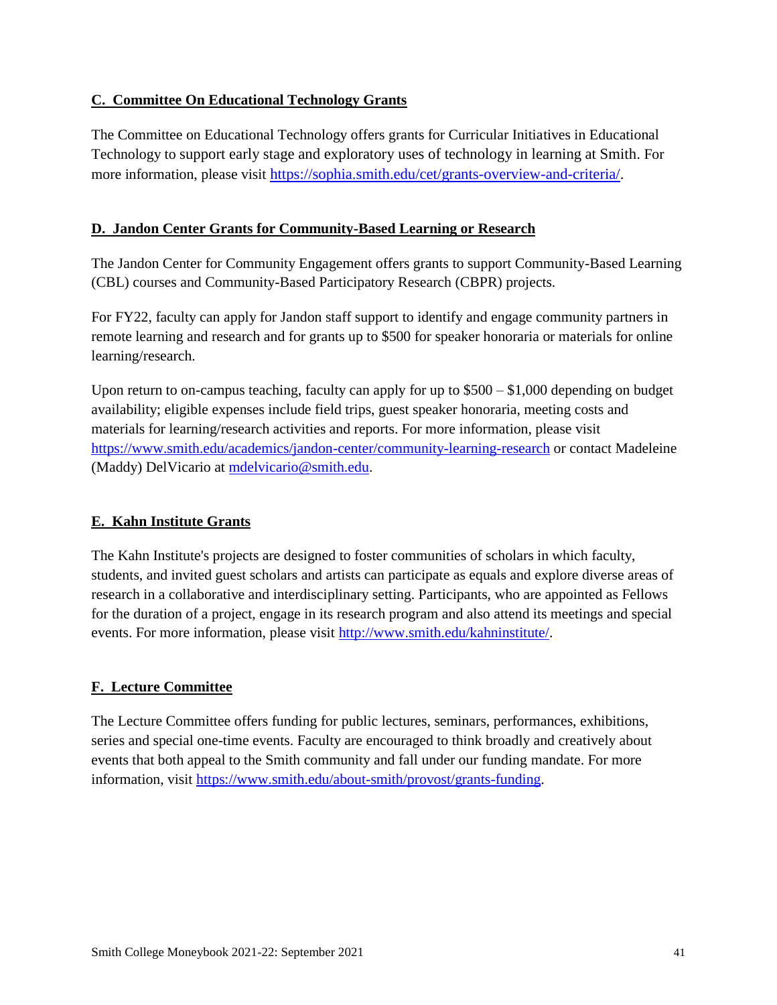#### <span id="page-40-0"></span>**C. Committee On Educational Technology Grants**

The Committee on Educational Technology offers grants for Curricular Initiatives in Educational Technology to support early stage and exploratory uses of technology in learning at Smith. For more information, please visit [https://sophia.smith.edu/cet/grants-overview-and-criteria/.](https://sophia.smith.edu/cet/grants-overview-and-criteria/)

#### <span id="page-40-1"></span>**D. Jandon Center Grants for Community-Based Learning or Research**

The Jandon Center for Community Engagement offers grants to support Community-Based Learning (CBL) courses and Community-Based Participatory Research (CBPR) projects.

For FY22, faculty can apply for Jandon staff support to identify and engage community partners in remote learning and research and for grants up to \$500 for speaker honoraria or materials for online learning/research.

Upon return to on-campus teaching, faculty can apply for up to \$500 – \$1,000 depending on budget availability; eligible expenses include field trips, guest speaker honoraria, meeting costs and materials for learning/research activities and reports. For more information, please visit <https://www.smith.edu/academics/jandon-center/community-learning-research> or contact Madeleine (Maddy) DelVicario at [mdelvicario@smith.edu.](mailto:mdelvicario@smith.edu)

#### <span id="page-40-2"></span>**E. Kahn Institute Grants**

The Kahn Institute's projects are designed to foster communities of scholars in which faculty, students, and invited guest scholars and artists can participate as equals and explore diverse areas of research in a collaborative and interdisciplinary setting. Participants, who are appointed as Fellows for the duration of a project, engage in its research program and also attend its meetings and special events. For more information, please visit [http://www.smith.edu/kahninstitute/.](http://www.smith.edu/kahninstitute/)

#### <span id="page-40-3"></span>**F. Lecture Committee**

<span id="page-40-4"></span>The Lecture Committee offers funding for public lectures, seminars, performances, exhibitions, series and special one-time events. Faculty are encouraged to think broadly and creatively about events that both appeal to the Smith community and fall under our funding mandate. For more information, visit [https://www.smith.edu/about-smith/provost/grants-funding.](https://www.smith.edu/about-smith/provost/grants-funding)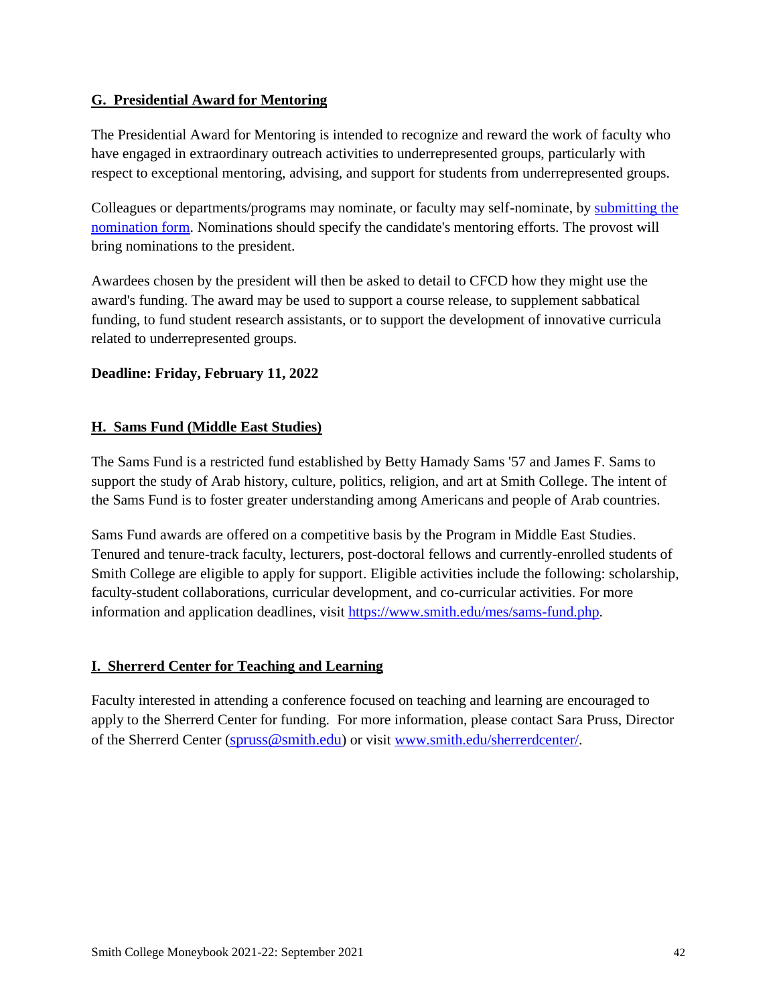#### **G. Presidential Award for Mentoring**

The Presidential Award for Mentoring is intended to recognize and reward the work of faculty who have engaged in extraordinary outreach activities to underrepresented groups, particularly with respect to exceptional mentoring, advising, and support for students from underrepresented groups.

Colleagues or departments/programs may nominate, or faculty may self-nominate, by [submitting the](https://docs.google.com/forms/d/e/1FAIpQLSeWPT_yNWa9YDofp4KHorRSFPPA0eBj1Oh_Qn__gMHnv7fbcA/viewform?usp=sf_link)  [nomination form.](https://docs.google.com/forms/d/e/1FAIpQLSeWPT_yNWa9YDofp4KHorRSFPPA0eBj1Oh_Qn__gMHnv7fbcA/viewform?usp=sf_link) Nominations should specify the candidate's mentoring efforts. The provost will bring nominations to the president.

Awardees chosen by the president will then be asked to detail to CFCD how they might use the award's funding. The award may be used to support a course release, to supplement sabbatical funding, to fund student research assistants, or to support the development of innovative curricula related to underrepresented groups.

#### <span id="page-41-0"></span>**Deadline: Friday, February 11, 2022**

#### **H. Sams Fund (Middle East Studies)**

The Sams Fund is a restricted fund established by Betty Hamady Sams '57 and James F. Sams to support the study of Arab history, culture, politics, religion, and art at Smith College. The intent of the Sams Fund is to foster greater understanding among Americans and people of Arab countries.

Sams Fund awards are offered on a competitive basis by the Program in Middle East Studies. Tenured and tenure-track faculty, lecturers, post-doctoral fellows and currently-enrolled students of Smith College are eligible to apply for support. Eligible activities include the following: scholarship, faculty-student collaborations, curricular development, and co-curricular activities. For more information and application deadlines, visit [https://www.smith.edu/mes/sams-fund.php.](https://www.smith.edu/mes/sams-fund.php)

#### <span id="page-41-1"></span>**I. Sherrerd Center for Teaching and Learning**

Faculty interested in attending a conference focused on teaching and learning are encouraged to apply to the Sherrerd Center for funding. For more information, please contact Sara Pruss, Director of the Sherrerd Center ([spruss@smith.edu](mailto:spruss@smith.edu)) or visit [www.smith.edu/sherrerdcenter/.](http://www.smith.edu/sherrerdcenter/)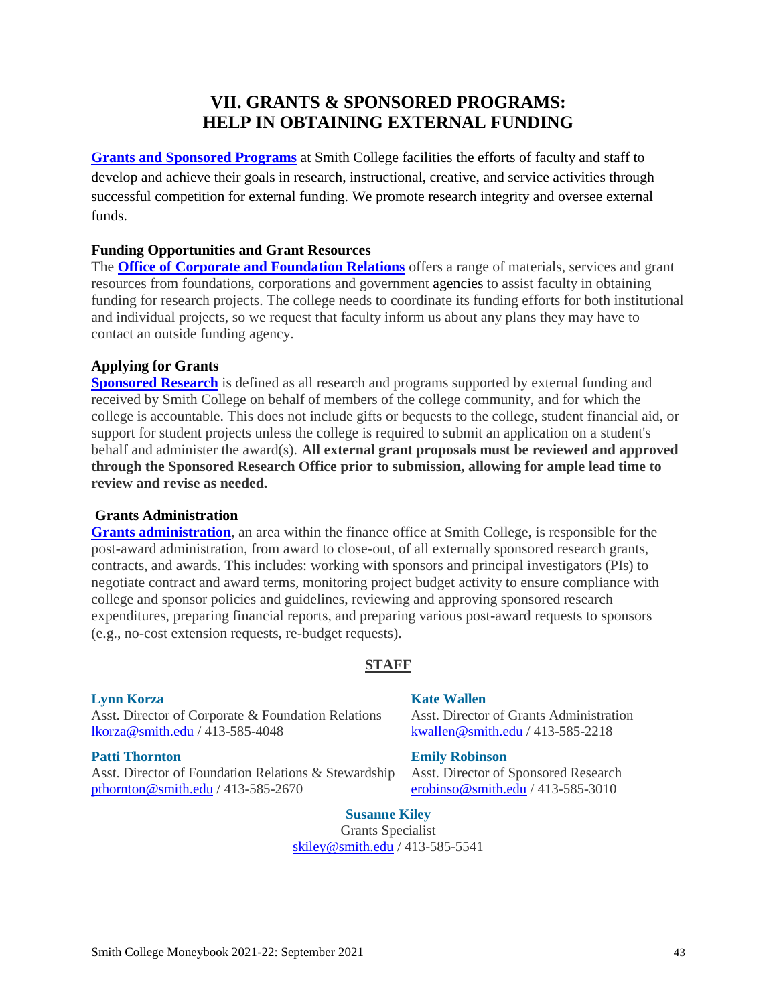# **VII. GRANTS & SPONSORED PROGRAMS: HELP IN OBTAINING EXTERNAL FUNDING**

<span id="page-42-0"></span>**[Grants and Sponsored Programs](https://www.smith.edu/about-smith/sponsored-programs)** at Smith College facilities the efforts of faculty and staff to develop and achieve their goals in research, instructional, creative, and service activities through successful competition for external funding. We promote research integrity and oversee external funds.

#### **Funding Opportunities and Grant Resources**

The **[Office of Corporate and Foundation Relations](https://www.smith.edu/about-smith/giving/cfr/funding-opportunities)** offers a range of materials, services and grant resources from foundations, corporations and government agencies to assist faculty in obtaining funding for research projects. The college needs to coordinate its funding efforts for both institutional and individual projects, so we request that faculty inform us about any plans they may have to contact an outside funding agency.

#### **Applying for Grants**

**[Sponsored Research](https://www.smith.edu/about-smith/provost/sponsored-research)** is defined as all research and programs supported by external funding and received by Smith College on behalf of members of the college community, and for which the college is accountable. This does not include gifts or bequests to the college, student financial aid, or support for student projects unless the college is required to submit an application on a student's behalf and administer the award(s). **All external grant proposals must be reviewed and approved through the Sponsored Research Office prior to submission, allowing for ample lead time to review and revise as needed.**

#### **Grants Administration**

**[Grants administration](https://www.smith.edu/about-smith/controller/grants-administration#management)**, an area within the finance office at Smith College, is responsible for the post-award administration, from award to close-out, of all externally sponsored research grants, contracts, and awards. This includes: working with sponsors and principal investigators (PIs) to negotiate contract and award terms, monitoring project budget activity to ensure compliance with college and sponsor policies and guidelines, reviewing and approving sponsored research expenditures, preparing financial reports, and preparing various post-award requests to sponsors (e.g., no-cost extension requests, re-budget requests).

#### **STAFF**

Asst. Director of Corporate & Foundation Relations Asst. Director of Grants Administration [lkorza@smith.edu](mailto:lkorza@smith.edu) / 413-585-4048 [kwallen@smith.edu](mailto:kwallen@smith.edu) / 413-585-2218

Asst. Director of Foundation Relations & Stewardship Asst. Director of Sponsored Research [pthornton@smith.edu](mailto:pthornton@smith.edu) / 413-585-2670 [erobinso@smith.edu](mailto:erobinso@smith.edu) / 413-585-3010

#### **[Lynn Korza](mailto:lkorza@smith.edu) [Kate Wallen](mailto:kwallen@smith.edu)**

#### **[Patti Thornton](mailto:pthornto@smith.edu) [Emily Robinson](mailto:erobinso@smith.edu)**

#### **[Susanne Kiley](mailto:skiley@smith.edu)**

Grants Specialist [skiley@smith.edu](mailto:skiley@smith.edu) / 413-585-5541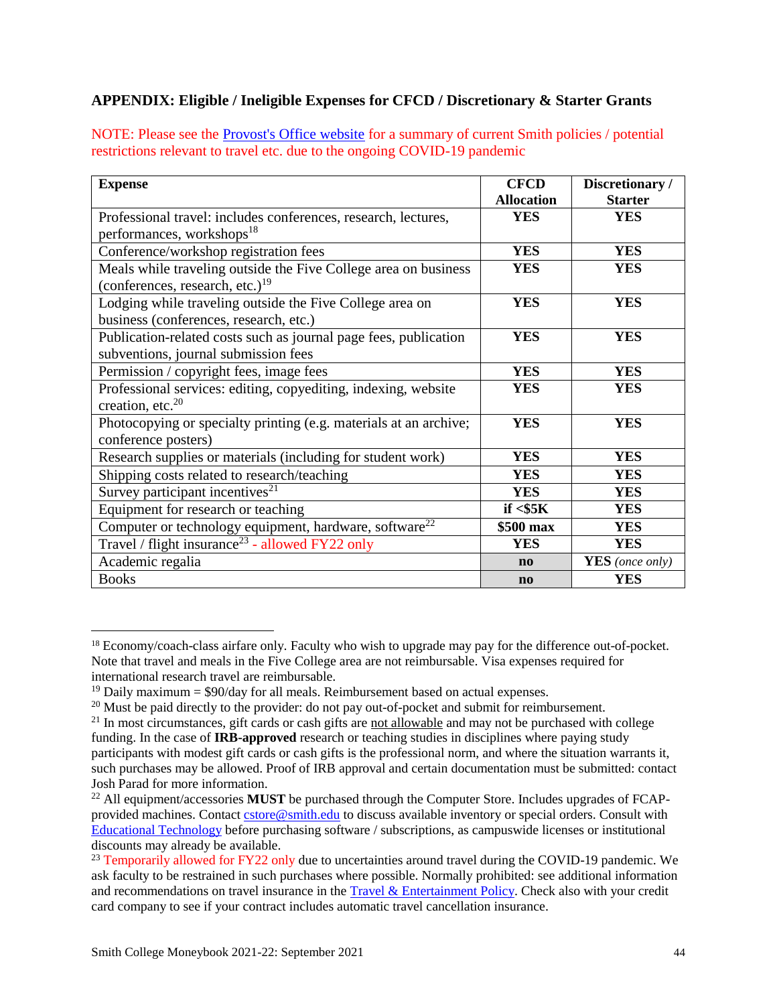#### <span id="page-43-0"></span>**APPENDIX: Eligible / Ineligible Expenses for CFCD / Discretionary & Starter Grants**

NOTE: Please see the [Provost's Office website](https://www.smith.edu/about-smith/provost/grants-funding) for a summary of current Smith policies / potential restrictions relevant to travel etc. due to the ongoing COVID-19 pandemic

| <b>Expense</b>                                                     | <b>CFCD</b>            | Discretionary /        |
|--------------------------------------------------------------------|------------------------|------------------------|
|                                                                    | <b>Allocation</b>      | <b>Starter</b>         |
| Professional travel: includes conferences, research, lectures,     | <b>YES</b>             | <b>YES</b>             |
| performances, workshops <sup>18</sup>                              |                        |                        |
| Conference/workshop registration fees                              | <b>YES</b>             | <b>YES</b>             |
| Meals while traveling outside the Five College area on business    | <b>YES</b>             | <b>YES</b>             |
| (conferences, research, etc.) $^{19}$                              |                        |                        |
| Lodging while traveling outside the Five College area on           | <b>YES</b>             | <b>YES</b>             |
| business (conferences, research, etc.)                             |                        |                        |
| Publication-related costs such as journal page fees, publication   | <b>YES</b>             | <b>YES</b>             |
| subventions, journal submission fees                               |                        |                        |
| Permission / copyright fees, image fees                            | <b>YES</b>             | <b>YES</b>             |
| Professional services: editing, copyediting, indexing, website     | <b>YES</b>             | <b>YES</b>             |
| creation, etc. <sup>20</sup>                                       |                        |                        |
| Photocopying or specialty printing (e.g. materials at an archive;  | <b>YES</b>             | <b>YES</b>             |
| conference posters)                                                |                        |                        |
| Research supplies or materials (including for student work)        | <b>YES</b>             | <b>YES</b>             |
| Shipping costs related to research/teaching                        | <b>YES</b>             | <b>YES</b>             |
| Survey participant incentives <sup>21</sup>                        | <b>YES</b>             | <b>YES</b>             |
| Equipment for research or teaching                                 | if $<$ \$5 $K$         | <b>YES</b>             |
| Computer or technology equipment, hardware, software <sup>22</sup> | \$500 max              | <b>YES</b>             |
| Travel / flight insurance <sup>23</sup> - allowed FY22 only        | <b>YES</b>             | <b>YES</b>             |
| Academic regalia                                                   | $\mathbf{n}\mathbf{o}$ | <b>YES</b> (once only) |
| <b>Books</b>                                                       | $\mathbf{n}\mathbf{o}$ | <b>YES</b>             |

<sup>18</sup> Economy/coach-class airfare only. Faculty who wish to upgrade may pay for the difference out-of-pocket. Note that travel and meals in the Five College area are not reimbursable. Visa expenses required for international research travel are reimbursable.

 $\overline{a}$ 

 $19$  Daily maximum = \$90/day for all meals. Reimbursement based on actual expenses.

 $^{20}$  Must be paid directly to the provider: do not pay out-of-pocket and submit for reimbursement.

<sup>&</sup>lt;sup>21</sup> In most circumstances, gift cards or cash gifts are not allowable and may not be purchased with college funding. In the case of **IRB-approved** research or teaching studies in disciplines where paying study participants with modest gift cards or cash gifts is the professional norm, and where the situation warrants it, such purchases may be allowed. Proof of IRB approval and certain documentation must be submitted: contact Josh Parad for more information.

<sup>22</sup> All equipment/accessories **MUST** be purchased through the Computer Store. Includes upgrades of FCAPprovided machines. Contact [cstore@smith.edu](mailto:cstore@smith.edu) to discuss available inventory or special orders. Consult with [Educational Technology](https://sophia.smith.edu/edtech/who-we-are/learning-design/) before purchasing software / subscriptions, as campuswide licenses or institutional discounts may already be available.

<sup>&</sup>lt;sup>23</sup> Temporarily allowed for FY22 only due to uncertainties around travel during the COVID-19 pandemic. We ask faculty to be restrained in such purchases where possible. Normally prohibited: see additional information and recommendations on travel insurance in the [Travel & Entertainment Policy.](https://www.smith.edu/about-smith/controller/travel-and-entertainment-policy) Check also with your credit card company to see if your contract includes automatic travel cancellation insurance.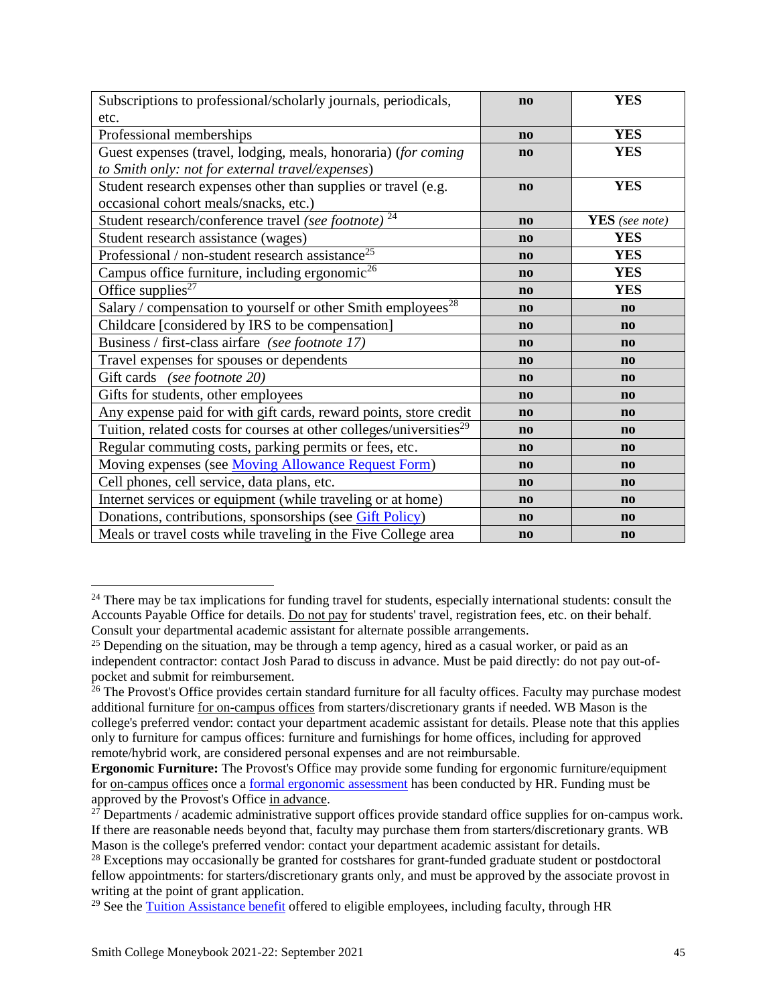| Subscriptions to professional/scholarly journals, periodicals,                  | $\mathbf{n}$           | <b>YES</b>             |
|---------------------------------------------------------------------------------|------------------------|------------------------|
| etc.                                                                            |                        |                        |
| Professional memberships                                                        | $\mathbf{n}$           | <b>YES</b>             |
| Guest expenses (travel, lodging, meals, honoraria) (for coming                  | $\mathbf{n}$           | <b>YES</b>             |
| to Smith only: not for external travel/expenses)                                |                        |                        |
| Student research expenses other than supplies or travel (e.g.                   | $\mathbf{n}\mathbf{o}$ | <b>YES</b>             |
| occasional cohort meals/snacks, etc.)                                           |                        |                        |
| Student research/conference travel (see footnote) <sup>24</sup>                 | $\mathbf{n}$           | <b>YES</b> (see note)  |
| Student research assistance (wages)                                             | $\mathbf{n}\mathbf{o}$ | <b>YES</b>             |
| Professional / non-student research assistance <sup>25</sup>                    | $\mathbf{n}$           | <b>YES</b>             |
| Campus office furniture, including ergonomic <sup>26</sup>                      | $\mathbf{n}\mathbf{o}$ | <b>YES</b>             |
| Office supplies <sup>27</sup>                                                   | $\mathbf{n}\mathbf{o}$ | <b>YES</b>             |
| Salary / compensation to yourself or other Smith employees <sup>28</sup>        | $\mathbf{n}\mathbf{o}$ | $\mathbf{n}$           |
| Childcare [considered by IRS to be compensation]                                | $\mathbf{n}\mathbf{o}$ | $\mathbf{n}$           |
| Business / first-class airfare (see footnote 17)                                | $\mathbf{n}\mathbf{o}$ | $\mathbf{n}$           |
| Travel expenses for spouses or dependents                                       | $\mathbf{n}\mathbf{o}$ | $\mathbf{n}\mathbf{o}$ |
| Gift cards (see footnote 20)                                                    | $\mathbf{n}\mathbf{o}$ | $\mathbf{n}$           |
| Gifts for students, other employees                                             | $\mathbf{n}$           | $\mathbf{n}$           |
| Any expense paid for with gift cards, reward points, store credit               | $\mathbf{n}\mathbf{o}$ | $\mathbf{n}\mathbf{o}$ |
| Tuition, related costs for courses at other colleges/universities <sup>29</sup> | $\mathbf{n}\mathbf{o}$ | $\mathbf{n}\mathbf{o}$ |
| Regular commuting costs, parking permits or fees, etc.                          | $\mathbf{n}\mathbf{o}$ | $\mathbf{n}\mathbf{o}$ |
| Moving expenses (see Moving Allowance Request Form)                             | $\mathbf{n}\mathbf{o}$ | $\mathbf{n}$           |
| Cell phones, cell service, data plans, etc.                                     | $\mathbf{n}\mathbf{o}$ | $\mathbf{n}\mathbf{o}$ |
| Internet services or equipment (while traveling or at home)                     | $\mathbf{n}\mathbf{o}$ | $\mathbf{n}$           |
| Donations, contributions, sponsorships (see <i>Gift Policy</i> )                | $\mathbf{n}\mathbf{o}$ | $\mathbf{n}\mathbf{o}$ |
| Meals or travel costs while traveling in the Five College area                  | $\mathbf{n}\mathbf{o}$ | $\mathbf{n}$           |

<sup>&</sup>lt;sup>24</sup> There may be tax implications for funding travel for students, especially international students: consult the Accounts Payable Office for details. Do not pay for students' travel, registration fees, etc. on their behalf. Consult your departmental academic assistant for alternate possible arrangements.

 $\overline{a}$ 

<sup>&</sup>lt;sup>25</sup> Depending on the situation, may be through a temp agency, hired as a casual worker, or paid as an independent contractor: contact Josh Parad to discuss in advance. Must be paid directly: do not pay out-ofpocket and submit for reimbursement.

<sup>&</sup>lt;sup>26</sup> The Provost's Office provides certain standard furniture for all faculty offices. Faculty may purchase modest additional furniture for on-campus offices from starters/discretionary grants if needed. WB Mason is the college's preferred vendor: contact your department academic assistant for details. Please note that this applies only to furniture for campus offices: furniture and furnishings for home offices, including for approved remote/hybrid work, are considered personal expenses and are not reimbursable.

**Ergonomic Furniture:** The Provost's Office may provide some funding for ergonomic furniture/equipment for on-campus offices once a [formal ergonomic assessment](https://www.smith.edu/sites/default/files/media/Documents/HR/employment_disability_accomodations.pdf) has been conducted by HR. Funding must be approved by the Provost's Office in advance.

<sup>&</sup>lt;sup>27</sup> Departments / academic administrative support offices provide standard office supplies for on-campus work. If there are reasonable needs beyond that, faculty may purchase them from starters/discretionary grants. WB Mason is the college's preferred vendor: contact your department academic assistant for details.

<sup>&</sup>lt;sup>28</sup> Exceptions may occasionally be granted for costshares for grant-funded graduate student or postdoctoral fellow appointments: for starters/discretionary grants only, and must be approved by the associate provost in writing at the point of grant application.

 $29$  See the [Tuition Assistance benefit](https://www.smith.edu/about-smith/hr/employee-handbook/tuition-college) offered to eligible employees, including faculty, through HR